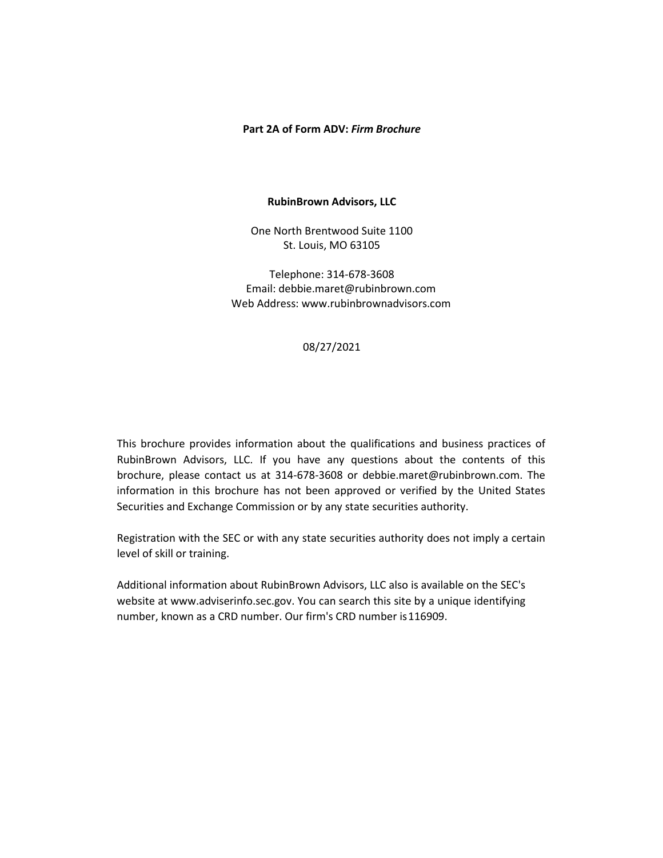#### **Part 2A of Form ADV:** *Firm Brochure*

#### **RubinBrown Advisors, LLC**

One North Brentwood Suite 1100 St. Louis, MO 63105

Telephone: 314-678-3608 Email: [debbie.maret@rubinbrown.com](mailto:debbie.maret@rubinbrown.com) Web Address[: www.rubinbrownadvisors.com](http://www.rubinbrownadvisors.com/)

# 08/27/2021

This brochure provides information about the qualifications and business practices of RubinBrown Advisors, LLC. If you have any questions about the contents of this brochure, please contact us at 314-678-3608 or [debbie.maret@rubinbrown.com.](mailto:debbie.maret@rubinbrown.com) The information in this brochure has not been approved or verified by the United States Securities and Exchange Commission or by any state securities authority.

Registration with the SEC or with any state securities authority does not imply a certain level of skill or training.

Additional information about RubinBrown Advisors, LLC also is available on the SEC's website at [www.adviserinfo.sec.gov.](http://www.adviserinfo.sec.gov/) You can search this site by a unique identifying number, known as a CRD number. Our firm's CRD number is116909.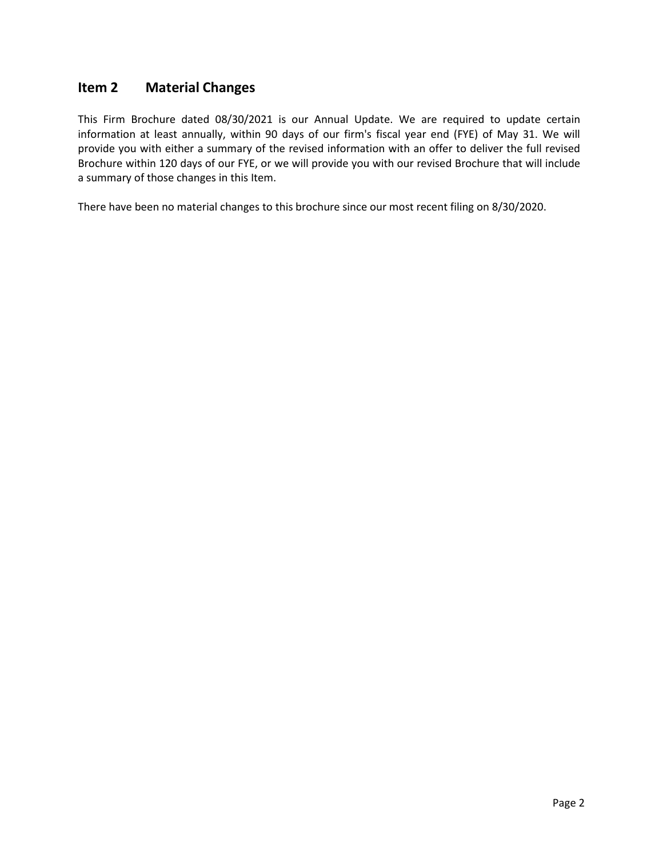# <span id="page-1-0"></span>**Item 2 Material Changes**

This Firm Brochure dated 08/30/2021 is our Annual Update. We are required to update certain information at least annually, within 90 days of our firm's fiscal year end (FYE) of May 31. We will provide you with either a summary of the revised information with an offer to deliver the full revised Brochure within 120 days of our FYE, or we will provide you with our revised Brochure that will include a summary of those changes in this Item.

There have been no material changes to this brochure since our most recent filing on 8/30/2020.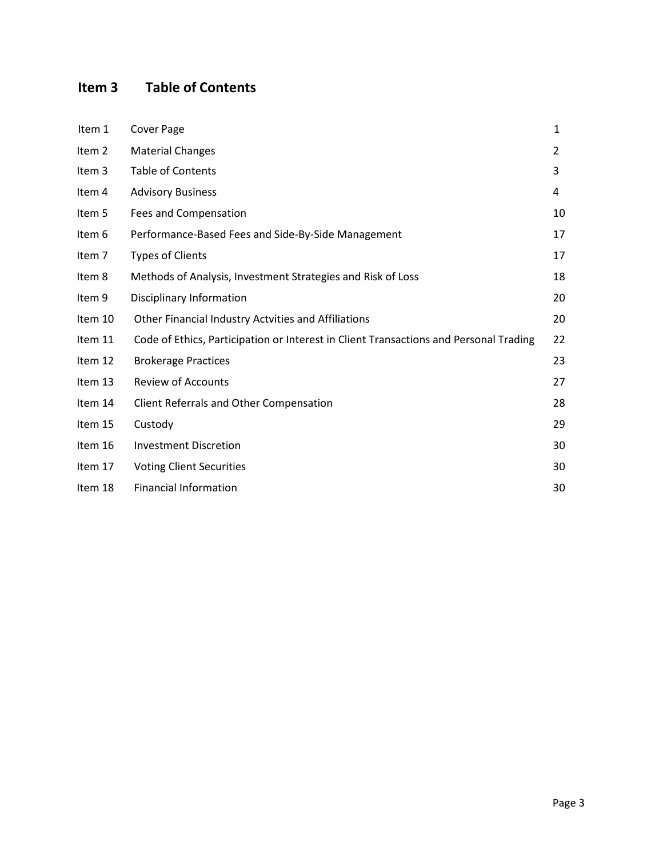# <span id="page-2-0"></span>**Item 3 Table of Contents**

| Item 1  | <b>Cover Page</b>                                                                     | 1  |
|---------|---------------------------------------------------------------------------------------|----|
| Item 2  | <b>Material Changes</b>                                                               | 2  |
| Item 3  | <b>Table of Contents</b>                                                              | 3  |
| Item 4  | <b>Advisory Business</b>                                                              | 4  |
| Item 5  | Fees and Compensation                                                                 | 10 |
| Item 6  | Performance-Based Fees and Side-By-Side Management                                    | 17 |
| Item 7  | <b>Types of Clients</b>                                                               | 17 |
| Item 8  | Methods of Analysis, Investment Strategies and Risk of Loss                           | 18 |
| Item 9  | Disciplinary Information                                                              | 20 |
| Item 10 | Other Financial Industry Actvities and Affiliations                                   | 20 |
| Item 11 | Code of Ethics, Participation or Interest in Client Transactions and Personal Trading | 22 |
| Item 12 | <b>Brokerage Practices</b>                                                            | 23 |
| Item 13 | <b>Review of Accounts</b>                                                             | 27 |
| Item 14 | Client Referrals and Other Compensation                                               | 28 |
| Item 15 | Custody                                                                               | 29 |
| Item 16 | <b>Investment Discretion</b>                                                          | 30 |
| Item 17 | <b>Voting Client Securities</b>                                                       | 30 |
| Item 18 | <b>Financial Information</b>                                                          | 30 |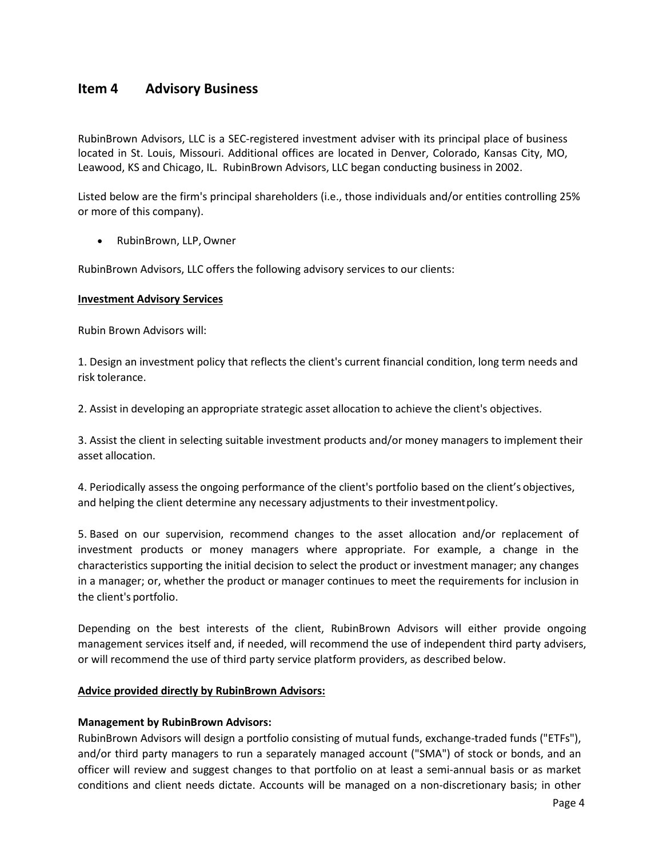# <span id="page-3-0"></span>**Item 4 Advisory Business**

RubinBrown Advisors, LLC is a SEC-registered investment adviser with its principal place of business located in St. Louis, Missouri. Additional offices are located in Denver, Colorado, Kansas City, MO, Leawood, KS and Chicago, IL. RubinBrown Advisors, LLC began conducting business in 2002.

Listed below are the firm's principal shareholders (i.e., those individuals and/or entities controlling 25% or more of this company).

• RubinBrown, LLP,Owner

RubinBrown Advisors, LLC offers the following advisory services to our clients:

#### **Investment Advisory Services**

Rubin Brown Advisors will:

1. Design an investment policy that reflects the client's current financial condition, long term needs and risk tolerance.

2. Assist in developing an appropriate strategic asset allocation to achieve the client's objectives.

3. Assist the client in selecting suitable investment products and/or money managers to implement their asset allocation.

4. Periodically assess the ongoing performance of the client's portfolio based on the client's objectives, and helping the client determine any necessary adjustments to their investmentpolicy.

5. Based on our supervision, recommend changes to the asset allocation and/or replacement of investment products or money managers where appropriate. For example, a change in the characteristics supporting the initial decision to select the product or investment manager; any changes in a manager; or, whether the product or manager continues to meet the requirements for inclusion in the client's portfolio.

Depending on the best interests of the client, RubinBrown Advisors will either provide ongoing management services itself and, if needed, will recommend the use of independent third party advisers, or will recommend the use of third party service platform providers, as described below.

#### **Advice provided directly by RubinBrown Advisors:**

# **Management by RubinBrown Advisors:**

RubinBrown Advisors will design a portfolio consisting of mutual funds, exchange-traded funds ("ETFs"), and/or third party managers to run a separately managed account ("SMA") of stock or bonds, and an officer will review and suggest changes to that portfolio on at least a semi-annual basis or as market conditions and client needs dictate. Accounts will be managed on a non-discretionary basis; in other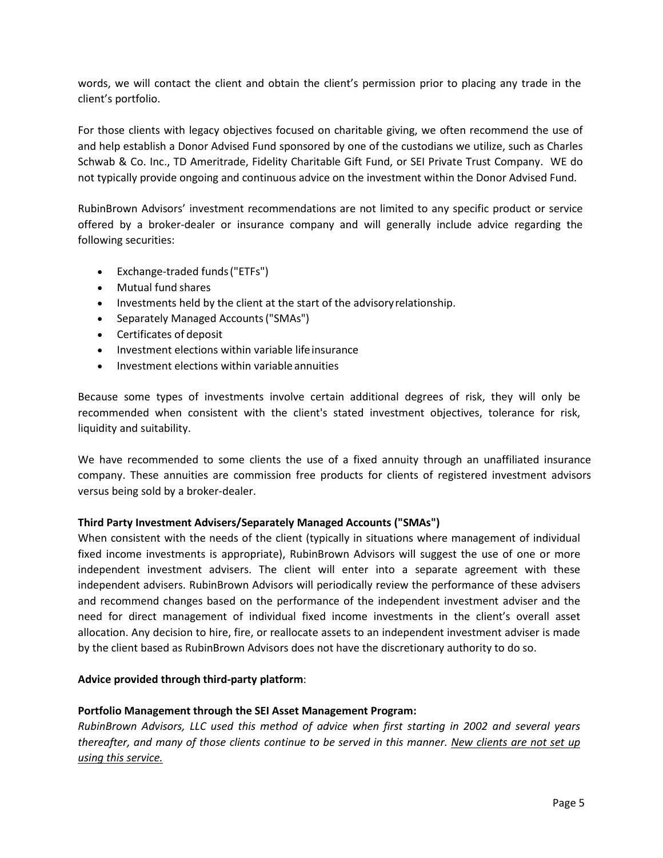words, we will contact the client and obtain the client's permission prior to placing any trade in the client's portfolio.

For those clients with legacy objectives focused on charitable giving, we often recommend the use of and help establish a Donor Advised Fund sponsored by one of the custodians we utilize, such as Charles Schwab & Co. Inc., TD Ameritrade, Fidelity Charitable Gift Fund, or SEI Private Trust Company. WE do not typically provide ongoing and continuous advice on the investment within the Donor Advised Fund.

RubinBrown Advisors' investment recommendations are not limited to any specific product or service offered by a broker-dealer or insurance company and will generally include advice regarding the following securities:

- Exchange-traded funds("ETFs")
- Mutual fund shares
- Investments held by the client at the start of the advisoryrelationship.
- Separately Managed Accounts("SMAs")
- Certificates of deposit
- Investment elections within variable lifeinsurance
- Investment elections within variable annuities

Because some types of investments involve certain additional degrees of risk, they will only be recommended when consistent with the client's stated investment objectives, tolerance for risk, liquidity and suitability.

We have recommended to some clients the use of a fixed annuity through an unaffiliated insurance company. These annuities are commission free products for clients of registered investment advisors versus being sold by a broker-dealer.

# **Third Party Investment Advisers/Separately Managed Accounts ("SMAs")**

When consistent with the needs of the client (typically in situations where management of individual fixed income investments is appropriate), RubinBrown Advisors will suggest the use of one or more independent investment advisers. The client will enter into a separate agreement with these independent advisers. RubinBrown Advisors will periodically review the performance of these advisers and recommend changes based on the performance of the independent investment adviser and the need for direct management of individual fixed income investments in the client's overall asset allocation. Any decision to hire, fire, or reallocate assets to an independent investment adviser is made by the client based as RubinBrown Advisors does not have the discretionary authority to do so.

# **Advice provided through third-party platform**:

# **Portfolio Management through the SEI Asset Management Program:**

*RubinBrown Advisors, LLC used this method of advice when first starting in 2002 and several years thereafter, and many of those clients continue to be served in this manner. New clients are not set up using this service.*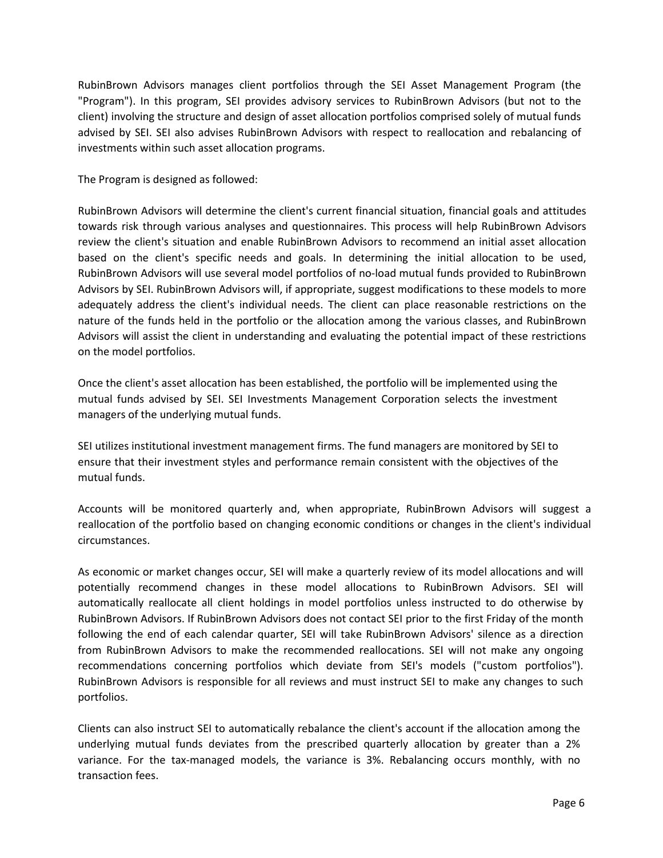RubinBrown Advisors manages client portfolios through the SEI Asset Management Program (the "Program"). In this program, SEI provides advisory services to RubinBrown Advisors (but not to the client) involving the structure and design of asset allocation portfolios comprised solely of mutual funds advised by SEI. SEI also advises RubinBrown Advisors with respect to reallocation and rebalancing of investments within such asset allocation programs.

The Program is designed as followed:

RubinBrown Advisors will determine the client's current financial situation, financial goals and attitudes towards risk through various analyses and questionnaires. This process will help RubinBrown Advisors review the client's situation and enable RubinBrown Advisors to recommend an initial asset allocation based on the client's specific needs and goals. In determining the initial allocation to be used, RubinBrown Advisors will use several model portfolios of no-load mutual funds provided to RubinBrown Advisors by SEI. RubinBrown Advisors will, if appropriate, suggest modifications to these models to more adequately address the client's individual needs. The client can place reasonable restrictions on the nature of the funds held in the portfolio or the allocation among the various classes, and RubinBrown Advisors will assist the client in understanding and evaluating the potential impact of these restrictions on the model portfolios.

Once the client's asset allocation has been established, the portfolio will be implemented using the mutual funds advised by SEI. SEI Investments Management Corporation selects the investment managers of the underlying mutual funds.

SEI utilizes institutional investment management firms. The fund managers are monitored by SEI to ensure that their investment styles and performance remain consistent with the objectives of the mutual funds.

Accounts will be monitored quarterly and, when appropriate, RubinBrown Advisors will suggest a reallocation of the portfolio based on changing economic conditions or changes in the client's individual circumstances.

As economic or market changes occur, SEI will make a quarterly review of its model allocations and will potentially recommend changes in these model allocations to RubinBrown Advisors. SEI will automatically reallocate all client holdings in model portfolios unless instructed to do otherwise by RubinBrown Advisors. If RubinBrown Advisors does not contact SEI prior to the first Friday of the month following the end of each calendar quarter, SEI will take RubinBrown Advisors' silence as a direction from RubinBrown Advisors to make the recommended reallocations. SEI will not make any ongoing recommendations concerning portfolios which deviate from SEI's models ("custom portfolios"). RubinBrown Advisors is responsible for all reviews and must instruct SEI to make any changes to such portfolios.

Clients can also instruct SEI to automatically rebalance the client's account if the allocation among the underlying mutual funds deviates from the prescribed quarterly allocation by greater than a 2% variance. For the tax-managed models, the variance is 3%. Rebalancing occurs monthly, with no transaction fees.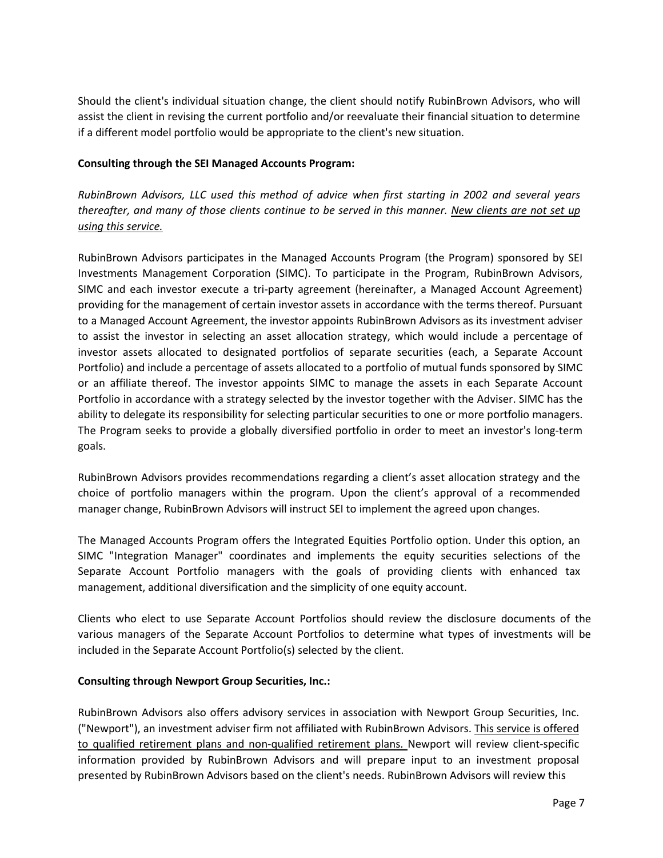Should the client's individual situation change, the client should notify RubinBrown Advisors, who will assist the client in revising the current portfolio and/or reevaluate their financial situation to determine if a different model portfolio would be appropriate to the client's new situation.

# **Consulting through the SEI Managed Accounts Program:**

*RubinBrown Advisors, LLC used this method of advice when first starting in 2002 and several years thereafter, and many of those clients continue to be served in this manner. New clients are not set up using this service.*

RubinBrown Advisors participates in the Managed Accounts Program (the Program) sponsored by SEI Investments Management Corporation (SIMC). To participate in the Program, RubinBrown Advisors, SIMC and each investor execute a tri-party agreement (hereinafter, a Managed Account Agreement) providing for the management of certain investor assets in accordance with the terms thereof. Pursuant to a Managed Account Agreement, the investor appoints RubinBrown Advisors as its investment adviser to assist the investor in selecting an asset allocation strategy, which would include a percentage of investor assets allocated to designated portfolios of separate securities (each, a Separate Account Portfolio) and include a percentage of assets allocated to a portfolio of mutual funds sponsored by SIMC or an affiliate thereof. The investor appoints SIMC to manage the assets in each Separate Account Portfolio in accordance with a strategy selected by the investor together with the Adviser. SIMC has the ability to delegate its responsibility for selecting particular securities to one or more portfolio managers. The Program seeks to provide a globally diversified portfolio in order to meet an investor's long-term goals.

RubinBrown Advisors provides recommendations regarding a client's asset allocation strategy and the choice of portfolio managers within the program. Upon the client's approval of a recommended manager change, RubinBrown Advisors will instruct SEI to implement the agreed upon changes.

The Managed Accounts Program offers the Integrated Equities Portfolio option. Under this option, an SIMC "Integration Manager" coordinates and implements the equity securities selections of the Separate Account Portfolio managers with the goals of providing clients with enhanced tax management, additional diversification and the simplicity of one equity account.

Clients who elect to use Separate Account Portfolios should review the disclosure documents of the various managers of the Separate Account Portfolios to determine what types of investments will be included in the Separate Account Portfolio(s) selected by the client.

# **Consulting through Newport Group Securities, Inc.:**

RubinBrown Advisors also offers advisory services in association with Newport Group Securities, Inc. ("Newport"), an investment adviser firm not affiliated with RubinBrown Advisors. This service is offered to qualified retirement plans and non-qualified retirement plans. Newport will review client-specific information provided by RubinBrown Advisors and will prepare input to an investment proposal presented by RubinBrown Advisors based on the client's needs. RubinBrown Advisors will review this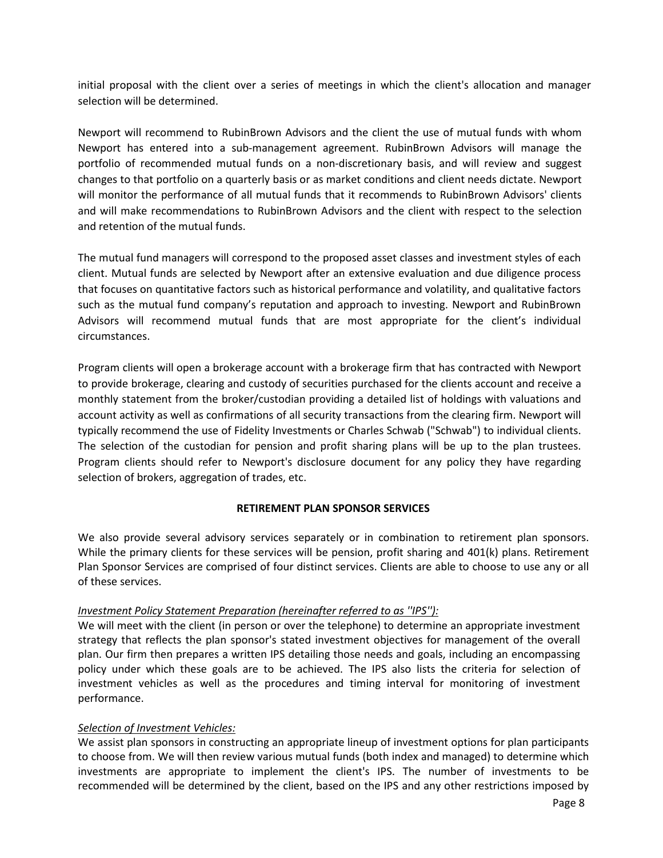initial proposal with the client over a series of meetings in which the client's allocation and manager selection will be determined.

Newport will recommend to RubinBrown Advisors and the client the use of mutual funds with whom Newport has entered into a sub-management agreement. RubinBrown Advisors will manage the portfolio of recommended mutual funds on a non-discretionary basis, and will review and suggest changes to that portfolio on a quarterly basis or as market conditions and client needs dictate. Newport will monitor the performance of all mutual funds that it recommends to RubinBrown Advisors' clients and will make recommendations to RubinBrown Advisors and the client with respect to the selection and retention of the mutual funds.

The mutual fund managers will correspond to the proposed asset classes and investment styles of each client. Mutual funds are selected by Newport after an extensive evaluation and due diligence process that focuses on quantitative factors such as historical performance and volatility, and qualitative factors such as the mutual fund company's reputation and approach to investing. Newport and RubinBrown Advisors will recommend mutual funds that are most appropriate for the client's individual circumstances.

Program clients will open a brokerage account with a brokerage firm that has contracted with Newport to provide brokerage, clearing and custody of securities purchased for the clients account and receive a monthly statement from the broker/custodian providing a detailed list of holdings with valuations and account activity as well as confirmations of all security transactions from the clearing firm. Newport will typically recommend the use of Fidelity Investments or Charles Schwab ("Schwab") to individual clients. The selection of the custodian for pension and profit sharing plans will be up to the plan trustees. Program clients should refer to Newport's disclosure document for any policy they have regarding selection of brokers, aggregation of trades, etc.

#### **RETIREMENT PLAN SPONSOR SERVICES**

We also provide several advisory services separately or in combination to retirement plan sponsors. While the primary clients for these services will be pension, profit sharing and 401(k) plans. Retirement Plan Sponsor Services are comprised of four distinct services. Clients are able to choose to use any or all of these services.

#### *Investment Policy Statement Preparation (hereinafter referred to as ''IPS''):*

We will meet with the client (in person or over the telephone) to determine an appropriate investment strategy that reflects the plan sponsor's stated investment objectives for management of the overall plan. Our firm then prepares a written IPS detailing those needs and goals, including an encompassing policy under which these goals are to be achieved. The IPS also lists the criteria for selection of investment vehicles as well as the procedures and timing interval for monitoring of investment performance.

#### *Selection of Investment Vehicles:*

We assist plan sponsors in constructing an appropriate lineup of investment options for plan participants to choose from. We will then review various mutual funds (both index and managed) to determine which investments are appropriate to implement the client's IPS. The number of investments to be recommended will be determined by the client, based on the IPS and any other restrictions imposed by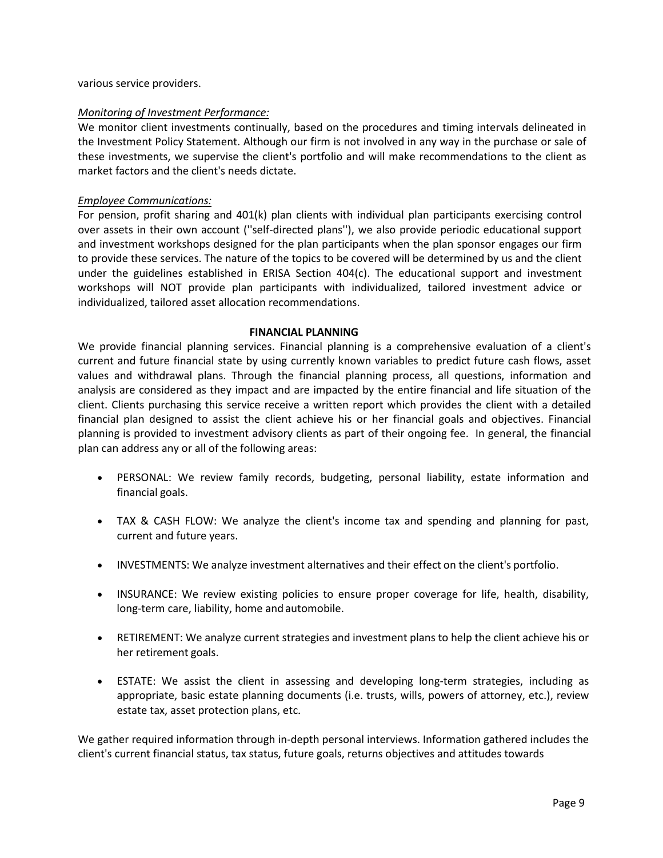various service providers.

# *Monitoring of Investment Performance:*

We monitor client investments continually, based on the procedures and timing intervals delineated in the Investment Policy Statement. Although our firm is not involved in any way in the purchase or sale of these investments, we supervise the client's portfolio and will make recommendations to the client as market factors and the client's needs dictate.

### *Employee Communications:*

For pension, profit sharing and 401(k) plan clients with individual plan participants exercising control over assets in their own account (''self-directed plans''), we also provide periodic educational support and investment workshops designed for the plan participants when the plan sponsor engages our firm to provide these services. The nature of the topics to be covered will be determined by us and the client under the guidelines established in ERISA Section 404(c). The educational support and investment workshops will NOT provide plan participants with individualized, tailored investment advice or individualized, tailored asset allocation recommendations.

#### **FINANCIAL PLANNING**

We provide financial planning services. Financial planning is a comprehensive evaluation of a client's current and future financial state by using currently known variables to predict future cash flows, asset values and withdrawal plans. Through the financial planning process, all questions, information and analysis are considered as they impact and are impacted by the entire financial and life situation of the client. Clients purchasing this service receive a written report which provides the client with a detailed financial plan designed to assist the client achieve his or her financial goals and objectives. Financial planning is provided to investment advisory clients as part of their ongoing fee. In general, the financial plan can address any or all of the following areas:

- PERSONAL: We review family records, budgeting, personal liability, estate information and financial goals.
- TAX & CASH FLOW: We analyze the client's income tax and spending and planning for past, current and future years.
- INVESTMENTS: We analyze investment alternatives and their effect on the client's portfolio.
- INSURANCE: We review existing policies to ensure proper coverage for life, health, disability, long-term care, liability, home and automobile.
- RETIREMENT: We analyze current strategies and investment plans to help the client achieve his or her retirement goals.
- ESTATE: We assist the client in assessing and developing long-term strategies, including as appropriate, basic estate planning documents (i.e. trusts, wills, powers of attorney, etc.), review estate tax, asset protection plans, etc.

We gather required information through in-depth personal interviews. Information gathered includes the client's current financial status, tax status, future goals, returns objectives and attitudes towards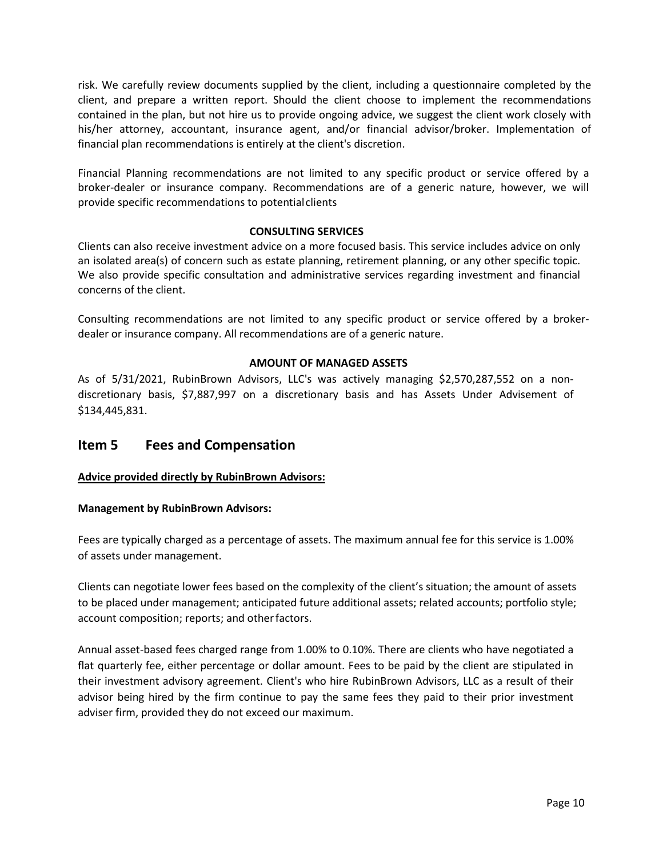risk. We carefully review documents supplied by the client, including a questionnaire completed by the client, and prepare a written report. Should the client choose to implement the recommendations contained in the plan, but not hire us to provide ongoing advice, we suggest the client work closely with his/her attorney, accountant, insurance agent, and/or financial advisor/broker. Implementation of financial plan recommendations is entirely at the client's discretion.

Financial Planning recommendations are not limited to any specific product or service offered by a broker-dealer or insurance company. Recommendations are of a generic nature, however, we will provide specific recommendations to potentialclients

# **CONSULTING SERVICES**

Clients can also receive investment advice on a more focused basis. This service includes advice on only an isolated area(s) of concern such as estate planning, retirement planning, or any other specific topic. We also provide specific consultation and administrative services regarding investment and financial concerns of the client.

Consulting recommendations are not limited to any specific product or service offered by a brokerdealer or insurance company. All recommendations are of a generic nature.

# **AMOUNT OF MANAGED ASSETS**

As of 5/31/2021, RubinBrown Advisors, LLC's was actively managing \$2,570,287,552 on a nondiscretionary basis, \$7,887,997 on a discretionary basis and has Assets Under Advisement of \$134,445,831.

# <span id="page-9-0"></span>**Item 5 Fees and Compensation**

# **Advice provided directly by RubinBrown Advisors:**

# **Management by RubinBrown Advisors:**

Fees are typically charged as a percentage of assets. The maximum annual fee for this service is 1.00% of assets under management.

Clients can negotiate lower fees based on the complexity of the client's situation; the amount of assets to be placed under management; anticipated future additional assets; related accounts; portfolio style; account composition; reports; and otherfactors.

Annual asset-based fees charged range from 1.00% to 0.10%. There are clients who have negotiated a flat quarterly fee, either percentage or dollar amount. Fees to be paid by the client are stipulated in their investment advisory agreement. Client's who hire RubinBrown Advisors, LLC as a result of their advisor being hired by the firm continue to pay the same fees they paid to their prior investment adviser firm, provided they do not exceed our maximum.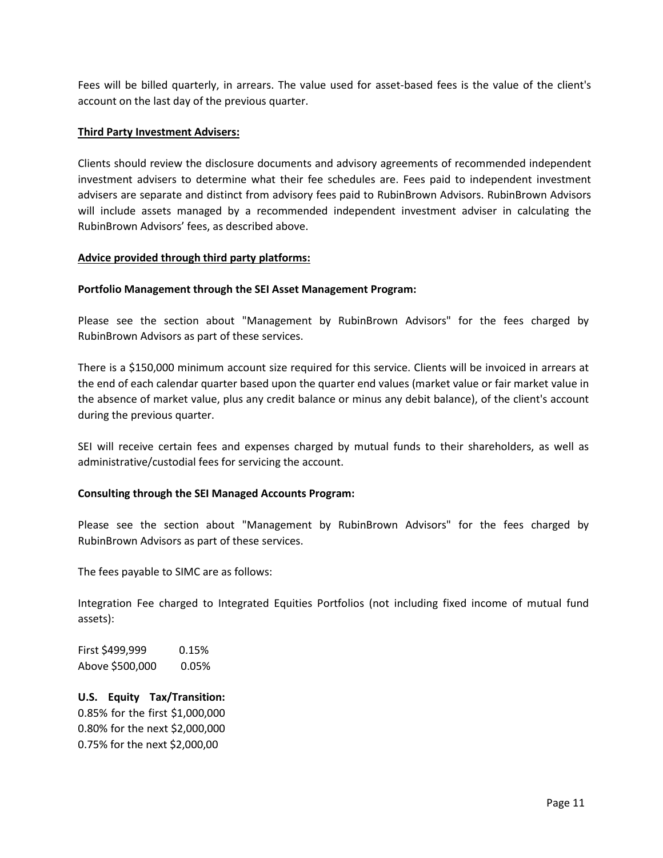Fees will be billed quarterly, in arrears. The value used for asset-based fees is the value of the client's account on the last day of the previous quarter.

#### **Third Party Investment Advisers:**

Clients should review the disclosure documents and advisory agreements of recommended independent investment advisers to determine what their fee schedules are. Fees paid to independent investment advisers are separate and distinct from advisory fees paid to RubinBrown Advisors. RubinBrown Advisors will include assets managed by a recommended independent investment adviser in calculating the RubinBrown Advisors' fees, as described above.

### **Advice provided through third party platforms:**

### **Portfolio Management through the SEI Asset Management Program:**

Please see the section about "Management by RubinBrown Advisors" for the fees charged by RubinBrown Advisors as part of these services.

There is a \$150,000 minimum account size required for this service. Clients will be invoiced in arrears at the end of each calendar quarter based upon the quarter end values (market value or fair market value in the absence of market value, plus any credit balance or minus any debit balance), of the client's account during the previous quarter.

SEI will receive certain fees and expenses charged by mutual funds to their shareholders, as well as administrative/custodial fees for servicing the account.

#### **Consulting through the SEI Managed Accounts Program:**

Please see the section about "Management by RubinBrown Advisors" for the fees charged by RubinBrown Advisors as part of these services.

The fees payable to SIMC are as follows:

Integration Fee charged to Integrated Equities Portfolios (not including fixed income of mutual fund assets):

First \$499,999 0.15% Above \$500,000 0.05%

**U.S. Equity Tax/Transition:**  0.85% for the first \$1,000,000 0.80% for the next \$2,000,000 0.75% for the next \$2,000,00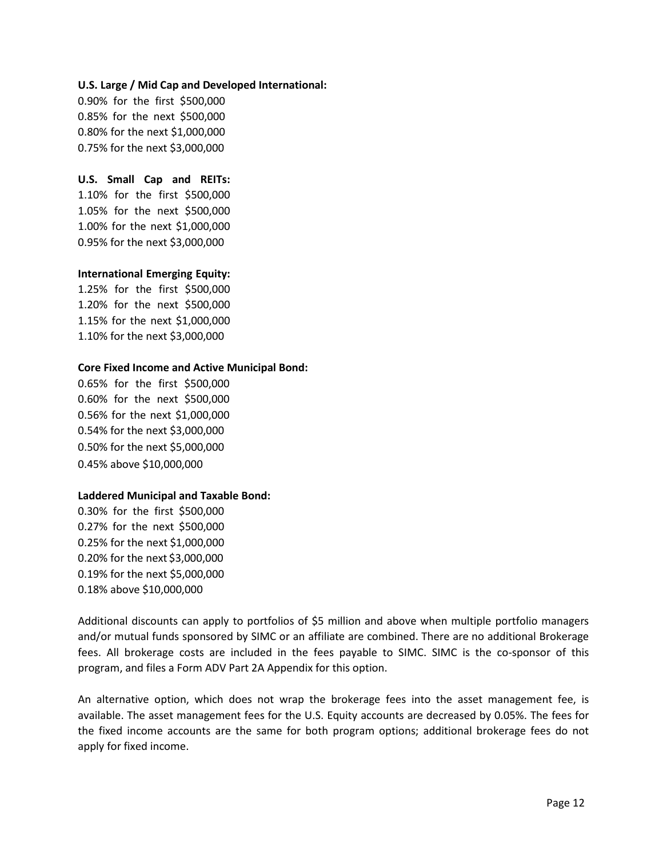#### **U.S. Large / Mid Cap and Developed International:**

0.90% for the first \$500,000 0.85% for the next \$500,000 0.80% for the next \$1,000,000 0.75% for the next \$3,000,000

### **U.S. Small Cap and REITs:**

1.10% for the first \$500,000 1.05% for the next \$500,000 1.00% for the next \$1,000,000 0.95% for the next \$3,000,000

### **International Emerging Equity:**

1.25% for the first \$500,000 1.20% for the next \$500,000 1.15% for the next \$1,000,000 1.10% for the next \$3,000,000

### **Core Fixed Income and Active Municipal Bond:**

0.65% for the first \$500,000 0.60% for the next \$500,000 0.56% for the next \$1,000,000 0.54% for the next \$3,000,000 0.50% for the next \$5,000,000 0.45% above \$10,000,000

# **Laddered Municipal and Taxable Bond:**

0.30% for the first \$500,000 0.27% for the next \$500,000 0.25% for the next \$1,000,000 0.20% for the next \$3,000,000 0.19% for the next \$5,000,000 0.18% above \$10,000,000

Additional discounts can apply to portfolios of \$5 million and above when multiple portfolio managers and/or mutual funds sponsored by SIMC or an affiliate are combined. There are no additional Brokerage fees. All brokerage costs are included in the fees payable to SIMC. SIMC is the co-sponsor of this program, and files a Form ADV Part 2A Appendix for this option.

An alternative option, which does not wrap the brokerage fees into the asset management fee, is available. The asset management fees for the U.S. Equity accounts are decreased by 0.05%. The fees for the fixed income accounts are the same for both program options; additional brokerage fees do not apply for fixed income.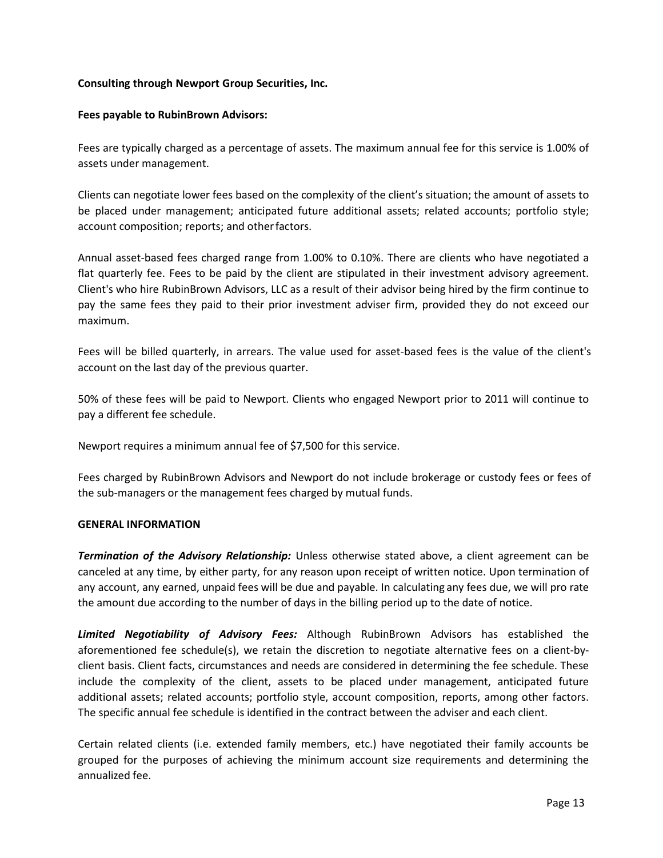# **Consulting through Newport Group Securities, Inc.**

#### **Fees payable to RubinBrown Advisors:**

Fees are typically charged as a percentage of assets. The maximum annual fee for this service is 1.00% of assets under management.

Clients can negotiate lower fees based on the complexity of the client's situation; the amount of assets to be placed under management; anticipated future additional assets; related accounts; portfolio style; account composition; reports; and otherfactors.

Annual asset-based fees charged range from 1.00% to 0.10%. There are clients who have negotiated a flat quarterly fee. Fees to be paid by the client are stipulated in their investment advisory agreement. Client's who hire RubinBrown Advisors, LLC as a result of their advisor being hired by the firm continue to pay the same fees they paid to their prior investment adviser firm, provided they do not exceed our maximum.

Fees will be billed quarterly, in arrears. The value used for asset-based fees is the value of the client's account on the last day of the previous quarter.

50% of these fees will be paid to Newport. Clients who engaged Newport prior to 2011 will continue to pay a different fee schedule.

Newport requires a minimum annual fee of \$7,500 for this service.

Fees charged by RubinBrown Advisors and Newport do not include brokerage or custody fees or fees of the sub-managers or the management fees charged by mutual funds.

#### **GENERAL INFORMATION**

*Termination of the Advisory Relationship:* Unless otherwise stated above, a client agreement can be canceled at any time, by either party, for any reason upon receipt of written notice. Upon termination of any account, any earned, unpaid fees will be due and payable. In calculating any fees due, we will pro rate the amount due according to the number of days in the billing period up to the date of notice.

*Limited Negotiability of Advisory Fees:* Although RubinBrown Advisors has established the aforementioned fee schedule(s), we retain the discretion to negotiate alternative fees on a client-byclient basis. Client facts, circumstances and needs are considered in determining the fee schedule. These include the complexity of the client, assets to be placed under management, anticipated future additional assets; related accounts; portfolio style, account composition, reports, among other factors. The specific annual fee schedule is identified in the contract between the adviser and each client.

Certain related clients (i.e. extended family members, etc.) have negotiated their family accounts be grouped for the purposes of achieving the minimum account size requirements and determining the annualized fee.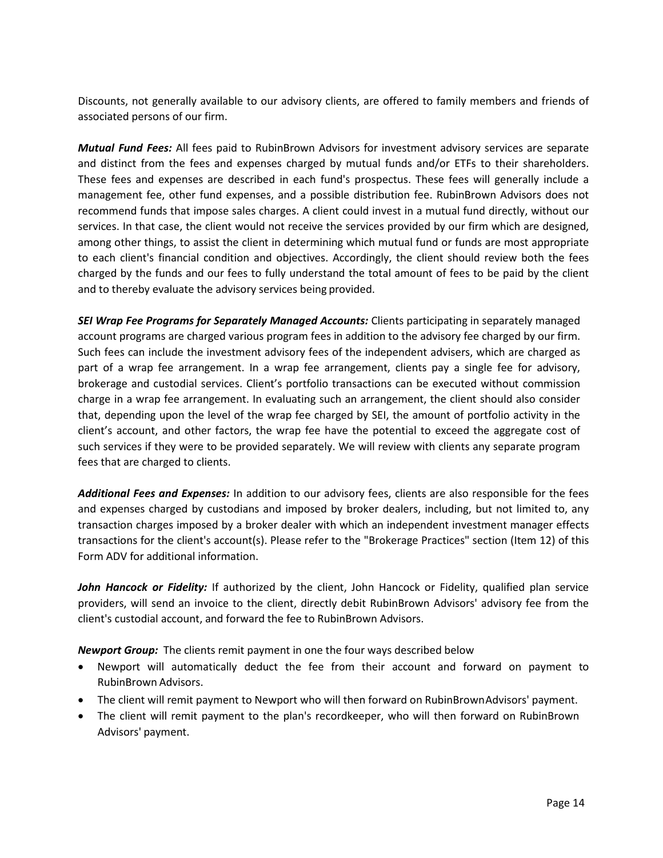Discounts, not generally available to our advisory clients, are offered to family members and friends of associated persons of our firm.

*Mutual Fund Fees:* All fees paid to RubinBrown Advisors for investment advisory services are separate and distinct from the fees and expenses charged by mutual funds and/or ETFs to their shareholders. These fees and expenses are described in each fund's prospectus. These fees will generally include a management fee, other fund expenses, and a possible distribution fee. RubinBrown Advisors does not recommend funds that impose sales charges. A client could invest in a mutual fund directly, without our services. In that case, the client would not receive the services provided by our firm which are designed, among other things, to assist the client in determining which mutual fund or funds are most appropriate to each client's financial condition and objectives. Accordingly, the client should review both the fees charged by the funds and our fees to fully understand the total amount of fees to be paid by the client and to thereby evaluate the advisory services being provided.

**SEI Wrap Fee Programs for Separately Managed Accounts:** Clients participating in separately managed account programs are charged various program fees in addition to the advisory fee charged by our firm. Such fees can include the investment advisory fees of the independent advisers, which are charged as part of a wrap fee arrangement. In a wrap fee arrangement, clients pay a single fee for advisory, brokerage and custodial services. Client's portfolio transactions can be executed without commission charge in a wrap fee arrangement. In evaluating such an arrangement, the client should also consider that, depending upon the level of the wrap fee charged by SEI, the amount of portfolio activity in the client's account, and other factors, the wrap fee have the potential to exceed the aggregate cost of such services if they were to be provided separately. We will review with clients any separate program fees that are charged to clients.

*Additional Fees and Expenses:* In addition to our advisory fees, clients are also responsible for the fees and expenses charged by custodians and imposed by broker dealers, including, but not limited to, any transaction charges imposed by a broker dealer with which an independent investment manager effects transactions for the client's account(s). Please refer to the "Brokerage Practices" section (Item 12) of this Form ADV for additional information.

*John Hancock or Fidelity:* If authorized by the client, John Hancock or Fidelity, qualified plan service providers, will send an invoice to the client, directly debit RubinBrown Advisors' advisory fee from the client's custodial account, and forward the fee to RubinBrown Advisors.

*Newport Group:* The clients remit payment in one the four ways described below

- Newport will automatically deduct the fee from their account and forward on payment to RubinBrown Advisors.
- The client will remit payment to Newport who will then forward on RubinBrownAdvisors' payment.
- The client will remit payment to the plan's recordkeeper, who will then forward on RubinBrown Advisors' payment.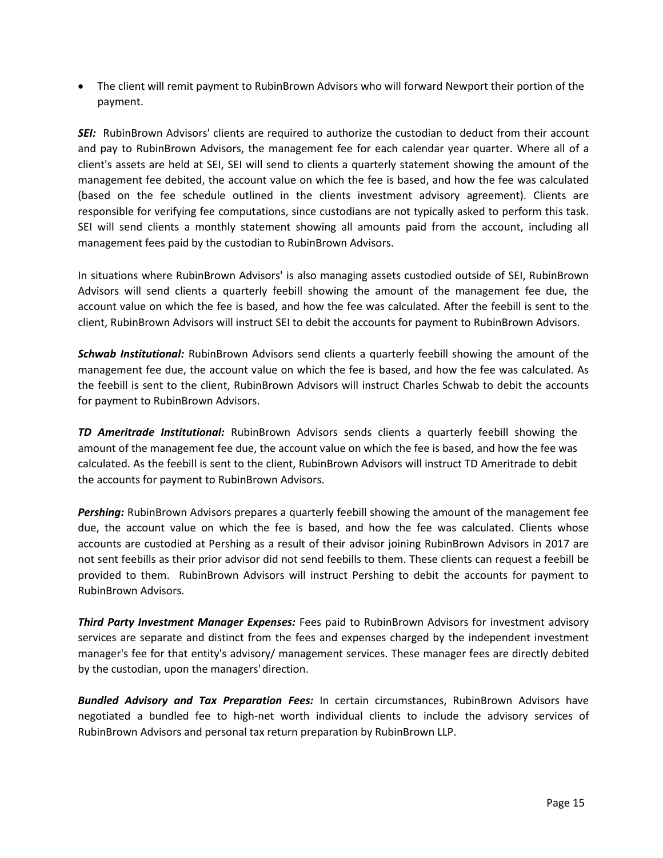• The client will remit payment to RubinBrown Advisors who will forward Newport their portion of the payment.

**SEI:** RubinBrown Advisors' clients are required to authorize the custodian to deduct from their account and pay to RubinBrown Advisors, the management fee for each calendar year quarter. Where all of a client's assets are held at SEI, SEI will send to clients a quarterly statement showing the amount of the management fee debited, the account value on which the fee is based, and how the fee was calculated (based on the fee schedule outlined in the clients investment advisory agreement). Clients are responsible for verifying fee computations, since custodians are not typically asked to perform this task. SEI will send clients a monthly statement showing all amounts paid from the account, including all management fees paid by the custodian to RubinBrown Advisors.

In situations where RubinBrown Advisors' is also managing assets custodied outside of SEI, RubinBrown Advisors will send clients a quarterly feebill showing the amount of the management fee due, the account value on which the fee is based, and how the fee was calculated. After the feebill is sent to the client, RubinBrown Advisors will instruct SEI to debit the accounts for payment to RubinBrown Advisors.

*Schwab Institutional:* RubinBrown Advisors send clients a quarterly feebill showing the amount of the management fee due, the account value on which the fee is based, and how the fee was calculated. As the feebill is sent to the client, RubinBrown Advisors will instruct Charles Schwab to debit the accounts for payment to RubinBrown Advisors.

*TD Ameritrade Institutional:* RubinBrown Advisors sends clients a quarterly feebill showing the amount of the management fee due, the account value on which the fee is based, and how the fee was calculated. As the feebill is sent to the client, RubinBrown Advisors will instruct TD Ameritrade to debit the accounts for payment to RubinBrown Advisors.

*Pershing:* RubinBrown Advisors prepares a quarterly feebill showing the amount of the management fee due, the account value on which the fee is based, and how the fee was calculated. Clients whose accounts are custodied at Pershing as a result of their advisor joining RubinBrown Advisors in 2017 are not sent feebills as their prior advisor did not send feebills to them. These clients can request a feebill be provided to them. RubinBrown Advisors will instruct Pershing to debit the accounts for payment to RubinBrown Advisors.

*Third Party Investment Manager Expenses:* Fees paid to RubinBrown Advisors for investment advisory services are separate and distinct from the fees and expenses charged by the independent investment manager's fee for that entity's advisory/ management services. These manager fees are directly debited by the custodian, upon the managers'direction.

*Bundled Advisory and Tax Preparation Fees:* In certain circumstances, RubinBrown Advisors have negotiated a bundled fee to high-net worth individual clients to include the advisory services of RubinBrown Advisors and personal tax return preparation by RubinBrown LLP.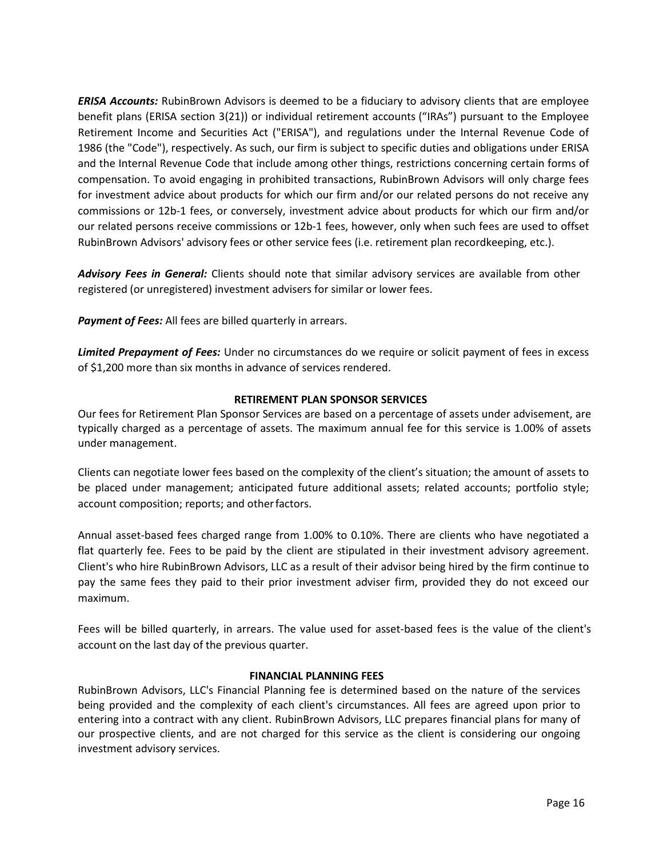*ERISA Accounts:* RubinBrown Advisors is deemed to be a fiduciary to advisory clients that are employee benefit plans (ERISA section 3(21)) or individual retirement accounts ("IRAs") pursuant to the Employee Retirement Income and Securities Act ("ERISA"), and regulations under the Internal Revenue Code of 1986 (the "Code"), respectively. As such, our firm is subject to specific duties and obligations under ERISA and the Internal Revenue Code that include among other things, restrictions concerning certain forms of compensation. To avoid engaging in prohibited transactions, RubinBrown Advisors will only charge fees for investment advice about products for which our firm and/or our related persons do not receive any commissions or 12b-1 fees, or conversely, investment advice about products for which our firm and/or our related persons receive commissions or 12b-1 fees, however, only when such fees are used to offset RubinBrown Advisors' advisory fees or other service fees (i.e. retirement plan recordkeeping, etc.).

*Advisory Fees in General:* Clients should note that similar advisory services are available from other registered (or unregistered) investment advisers for similar or lower fees.

**Payment of Fees:** All fees are billed quarterly in arrears.

*Limited Prepayment of Fees:* Under no circumstances do we require or solicit payment of fees in excess of \$1,200 more than six months in advance of services rendered.

### **RETIREMENT PLAN SPONSOR SERVICES**

Our fees for Retirement Plan Sponsor Services are based on a percentage of assets under advisement, are typically charged as a percentage of assets. The maximum annual fee for this service is 1.00% of assets under management.

Clients can negotiate lower fees based on the complexity of the client's situation; the amount of assets to be placed under management; anticipated future additional assets; related accounts; portfolio style; account composition; reports; and otherfactors.

Annual asset-based fees charged range from 1.00% to 0.10%. There are clients who have negotiated a flat quarterly fee. Fees to be paid by the client are stipulated in their investment advisory agreement. Client's who hire RubinBrown Advisors, LLC as a result of their advisor being hired by the firm continue to pay the same fees they paid to their prior investment adviser firm, provided they do not exceed our maximum.

Fees will be billed quarterly, in arrears. The value used for asset-based fees is the value of the client's account on the last day of the previous quarter.

# **FINANCIAL PLANNING FEES**

RubinBrown Advisors, LLC's Financial Planning fee is determined based on the nature of the services being provided and the complexity of each client's circumstances. All fees are agreed upon prior to entering into a contract with any client. RubinBrown Advisors, LLC prepares financial plans for many of our prospective clients, and are not charged for this service as the client is considering our ongoing investment advisory services.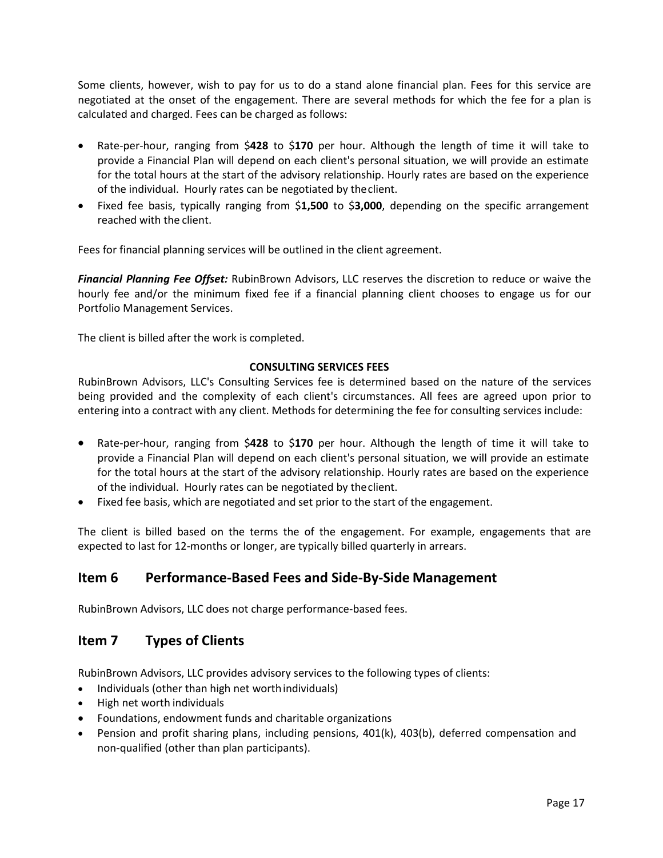Some clients, however, wish to pay for us to do a stand alone financial plan. Fees for this service are negotiated at the onset of the engagement. There are several methods for which the fee for a plan is calculated and charged. Fees can be charged as follows:

- Rate-per-hour, ranging from \$**428** to \$**170** per hour. Although the length of time it will take to provide a Financial Plan will depend on each client's personal situation, we will provide an estimate for the total hours at the start of the advisory relationship. Hourly rates are based on the experience of the individual. Hourly rates can be negotiated by theclient.
- Fixed fee basis, typically ranging from \$**1,500** to \$**3,000**, depending on the specific arrangement reached with the client.

Fees for financial planning services will be outlined in the client agreement.

*Financial Planning Fee Offset:* RubinBrown Advisors, LLC reserves the discretion to reduce or waive the hourly fee and/or the minimum fixed fee if a financial planning client chooses to engage us for our Portfolio Management Services.

The client is billed after the work is completed.

### **CONSULTING SERVICES FEES**

RubinBrown Advisors, LLC's Consulting Services fee is determined based on the nature of the services being provided and the complexity of each client's circumstances. All fees are agreed upon prior to entering into a contract with any client. Methods for determining the fee for consulting services include:

- Rate-per-hour, ranging from \$**428** to \$**170** per hour. Although the length of time it will take to provide a Financial Plan will depend on each client's personal situation, we will provide an estimate for the total hours at the start of the advisory relationship. Hourly rates are based on the experience of the individual. Hourly rates can be negotiated by theclient.
- Fixed fee basis, which are negotiated and set prior to the start of the engagement.

The client is billed based on the terms the of the engagement. For example, engagements that are expected to last for 12-months or longer, are typically billed quarterly in arrears.

# <span id="page-16-0"></span>**Item 6 Performance-Based Fees and Side-By-Side Management**

RubinBrown Advisors, LLC does not charge performance-based fees.

# <span id="page-16-1"></span>**Item 7 Types of Clients**

RubinBrown Advisors, LLC provides advisory services to the following types of clients:

- Individuals (other than high net worthindividuals)
- High net worth individuals
- Foundations, endowment funds and charitable organizations
- Pension and profit sharing plans, including pensions, 401(k), 403(b), deferred compensation and non-qualified (other than plan participants).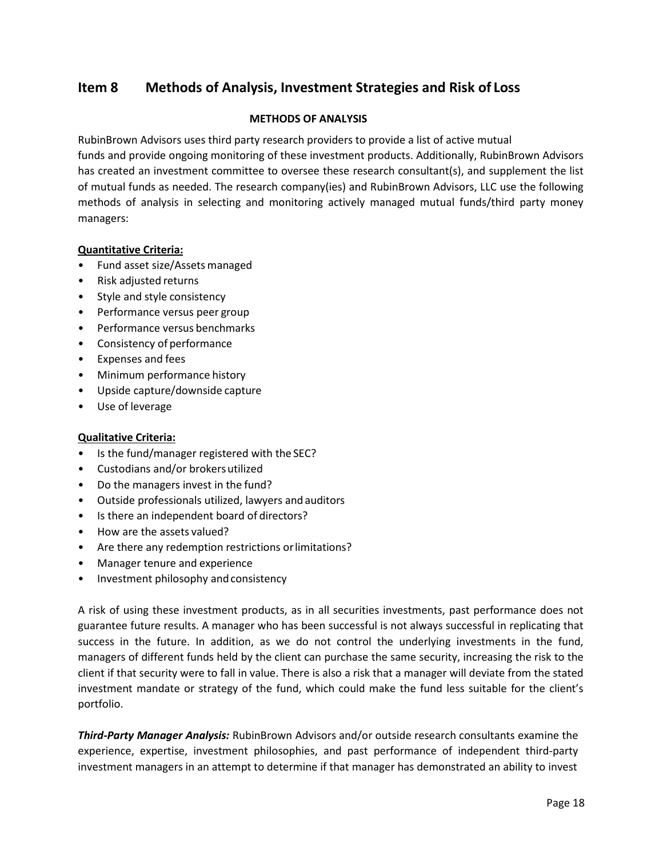# <span id="page-17-0"></span>**Item 8 Methods of Analysis, Investment Strategies and Risk of Loss**

# **METHODS OF ANALYSIS**

RubinBrown Advisors uses third party research providers to provide a list of active mutual

funds and provide ongoing monitoring of these investment products. Additionally, RubinBrown Advisors has created an investment committee to oversee these research consultant(s), and supplement the list of mutual funds as needed. The research company(ies) and RubinBrown Advisors, LLC use the following methods of analysis in selecting and monitoring actively managed mutual funds/third party money managers:

# **Quantitative Criteria:**

- Fund asset size/Assets managed
- Risk adjusted returns
- Style and style consistency
- Performance versus peer group
- Performance versus benchmarks
- Consistency of performance
- Expenses and fees
- Minimum performance history
- Upside capture/downside capture
- Use of leverage

# **Qualitative Criteria:**

- Is the fund/manager registered with the SEC?
- Custodians and/or brokersutilized
- Do the managers invest in the fund?
- Outside professionals utilized, lawyers andauditors
- Is there an independent board of directors?
- How are the assets valued?
- Are there any redemption restrictions orlimitations?
- Manager tenure and experience
- Investment philosophy and consistency

A risk of using these investment products, as in all securities investments, past performance does not guarantee future results. A manager who has been successful is not always successful in replicating that success in the future. In addition, as we do not control the underlying investments in the fund, managers of different funds held by the client can purchase the same security, increasing the risk to the client if that security were to fall in value. There is also a risk that a manager will deviate from the stated investment mandate or strategy of the fund, which could make the fund less suitable for the client's portfolio.

*Third-Party Manager Analysis:* RubinBrown Advisors and/or outside research consultants examine the experience, expertise, investment philosophies, and past performance of independent third-party investment managers in an attempt to determine if that manager has demonstrated an ability to invest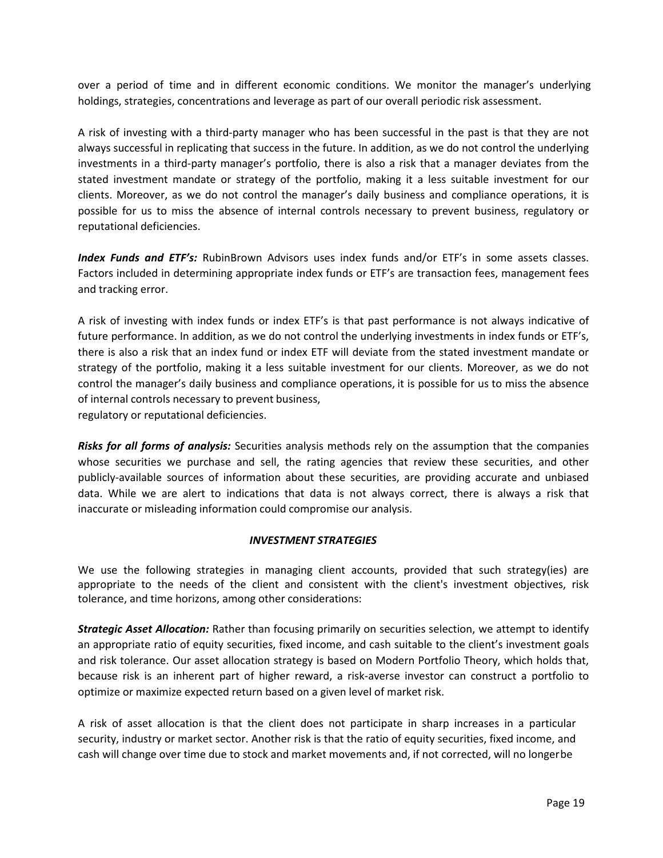over a period of time and in different economic conditions. We monitor the manager's underlying holdings, strategies, concentrations and leverage as part of our overall periodic risk assessment.

A risk of investing with a third-party manager who has been successful in the past is that they are not always successful in replicating that success in the future. In addition, as we do not control the underlying investments in a third-party manager's portfolio, there is also a risk that a manager deviates from the stated investment mandate or strategy of the portfolio, making it a less suitable investment for our clients. Moreover, as we do not control the manager's daily business and compliance operations, it is possible for us to miss the absence of internal controls necessary to prevent business, regulatory or reputational deficiencies.

*Index Funds and ETF's:* RubinBrown Advisors uses index funds and/or ETF's in some assets classes. Factors included in determining appropriate index funds or ETF's are transaction fees, management fees and tracking error.

A risk of investing with index funds or index ETF's is that past performance is not always indicative of future performance. In addition, as we do not control the underlying investments in index funds or ETF's, there is also a risk that an index fund or index ETF will deviate from the stated investment mandate or strategy of the portfolio, making it a less suitable investment for our clients. Moreover, as we do not control the manager's daily business and compliance operations, it is possible for us to miss the absence of internal controls necessary to prevent business,

regulatory or reputational deficiencies.

*Risks for all forms of analysis:* Securities analysis methods rely on the assumption that the companies whose securities we purchase and sell, the rating agencies that review these securities, and other publicly-available sources of information about these securities, are providing accurate and unbiased data. While we are alert to indications that data is not always correct, there is always a risk that inaccurate or misleading information could compromise our analysis.

#### *INVESTMENT STRATEGIES*

We use the following strategies in managing client accounts, provided that such strategy(ies) are appropriate to the needs of the client and consistent with the client's investment objectives, risk tolerance, and time horizons, among other considerations:

*Strategic Asset Allocation:* Rather than focusing primarily on securities selection, we attempt to identify an appropriate ratio of equity securities, fixed income, and cash suitable to the client's investment goals and risk tolerance. Our asset allocation strategy is based on Modern Portfolio Theory, which holds that, because risk is an inherent part of higher reward, a risk-averse investor can construct a portfolio to optimize or maximize expected return based on a given level of market risk.

A risk of asset allocation is that the client does not participate in sharp increases in a particular security, industry or market sector. Another risk is that the ratio of equity securities, fixed income, and cash will change over time due to stock and market movements and, if not corrected, will no longerbe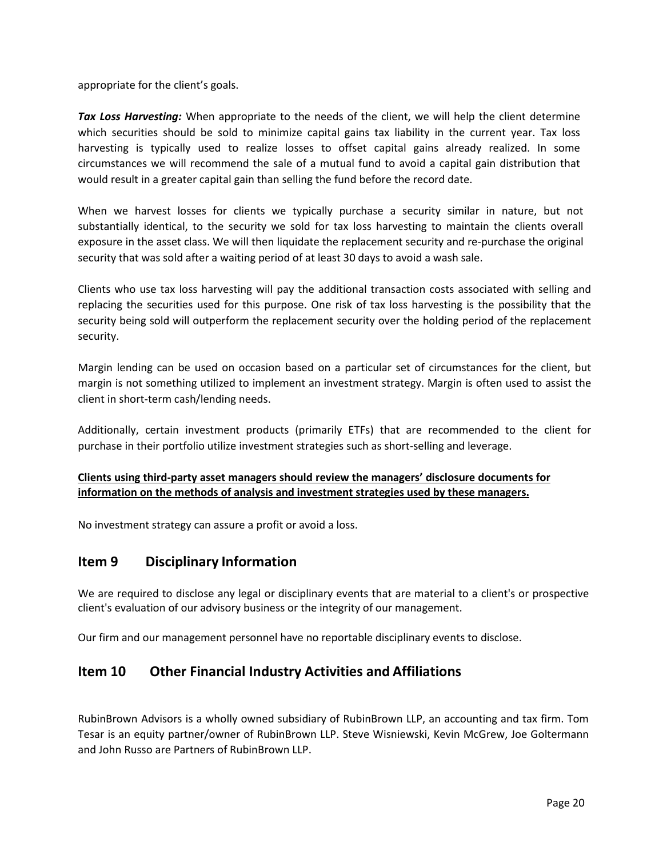appropriate for the client's goals.

*Tax Loss Harvesting:* When appropriate to the needs of the client, we will help the client determine which securities should be sold to minimize capital gains tax liability in the current year. Tax loss harvesting is typically used to realize losses to offset capital gains already realized. In some circumstances we will recommend the sale of a mutual fund to avoid a capital gain distribution that would result in a greater capital gain than selling the fund before the record date.

When we harvest losses for clients we typically purchase a security similar in nature, but not substantially identical, to the security we sold for tax loss harvesting to maintain the clients overall exposure in the asset class. We will then liquidate the replacement security and re-purchase the original security that was sold after a waiting period of at least 30 days to avoid a wash sale.

Clients who use tax loss harvesting will pay the additional transaction costs associated with selling and replacing the securities used for this purpose. One risk of tax loss harvesting is the possibility that the security being sold will outperform the replacement security over the holding period of the replacement security.

Margin lending can be used on occasion based on a particular set of circumstances for the client, but margin is not something utilized to implement an investment strategy. Margin is often used to assist the client in short-term cash/lending needs.

Additionally, certain investment products (primarily ETFs) that are recommended to the client for purchase in their portfolio utilize investment strategies such as short-selling and leverage.

# **Clients using third-party asset managers should review the managers' disclosure documents for information on the methods of analysis and investment strategies used by these managers.**

No investment strategy can assure a profit or avoid a loss.

# <span id="page-19-0"></span>**Item 9 Disciplinary Information**

We are required to disclose any legal or disciplinary events that are material to a client's or prospective client's evaluation of our advisory business or the integrity of our management.

Our firm and our management personnel have no reportable disciplinary events to disclose.

# <span id="page-19-1"></span>**Item 10 Other Financial Industry Activities and Affiliations**

RubinBrown Advisors is a wholly owned subsidiary of RubinBrown LLP, an accounting and tax firm. Tom Tesar is an equity partner/owner of RubinBrown LLP. Steve Wisniewski, Kevin McGrew, Joe Goltermann and John Russo are Partners of RubinBrown LLP.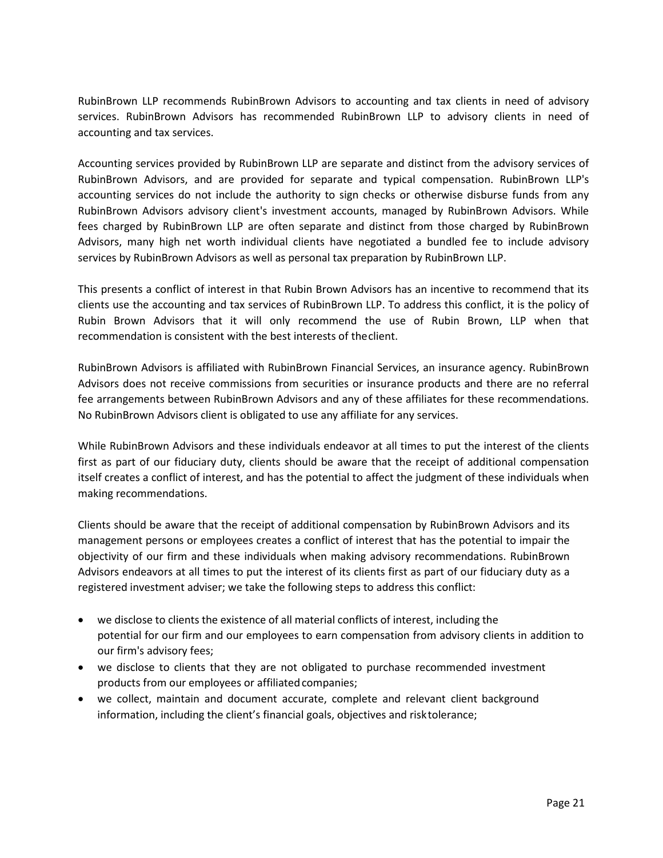RubinBrown LLP recommends RubinBrown Advisors to accounting and tax clients in need of advisory services. RubinBrown Advisors has recommended RubinBrown LLP to advisory clients in need of accounting and tax services.

Accounting services provided by RubinBrown LLP are separate and distinct from the advisory services of RubinBrown Advisors, and are provided for separate and typical compensation. RubinBrown LLP's accounting services do not include the authority to sign checks or otherwise disburse funds from any RubinBrown Advisors advisory client's investment accounts, managed by RubinBrown Advisors. While fees charged by RubinBrown LLP are often separate and distinct from those charged by RubinBrown Advisors, many high net worth individual clients have negotiated a bundled fee to include advisory services by RubinBrown Advisors as well as personal tax preparation by RubinBrown LLP.

This presents a conflict of interest in that Rubin Brown Advisors has an incentive to recommend that its clients use the accounting and tax services of RubinBrown LLP. To address this conflict, it is the policy of Rubin Brown Advisors that it will only recommend the use of Rubin Brown, LLP when that recommendation is consistent with the best interests of theclient.

RubinBrown Advisors is affiliated with RubinBrown Financial Services, an insurance agency. RubinBrown Advisors does not receive commissions from securities or insurance products and there are no referral fee arrangements between RubinBrown Advisors and any of these affiliates for these recommendations. No RubinBrown Advisors client is obligated to use any affiliate for any services.

While RubinBrown Advisors and these individuals endeavor at all times to put the interest of the clients first as part of our fiduciary duty, clients should be aware that the receipt of additional compensation itself creates a conflict of interest, and has the potential to affect the judgment of these individuals when making recommendations.

Clients should be aware that the receipt of additional compensation by RubinBrown Advisors and its management persons or employees creates a conflict of interest that has the potential to impair the objectivity of our firm and these individuals when making advisory recommendations. RubinBrown Advisors endeavors at all times to put the interest of its clients first as part of our fiduciary duty as a registered investment adviser; we take the following steps to address this conflict:

- we disclose to clients the existence of all material conflicts of interest, including the potential for our firm and our employees to earn compensation from advisory clients in addition to our firm's advisory fees;
- we disclose to clients that they are not obligated to purchase recommended investment products from our employees or affiliated companies;
- we collect, maintain and document accurate, complete and relevant client background information, including the client's financial goals, objectives and risktolerance;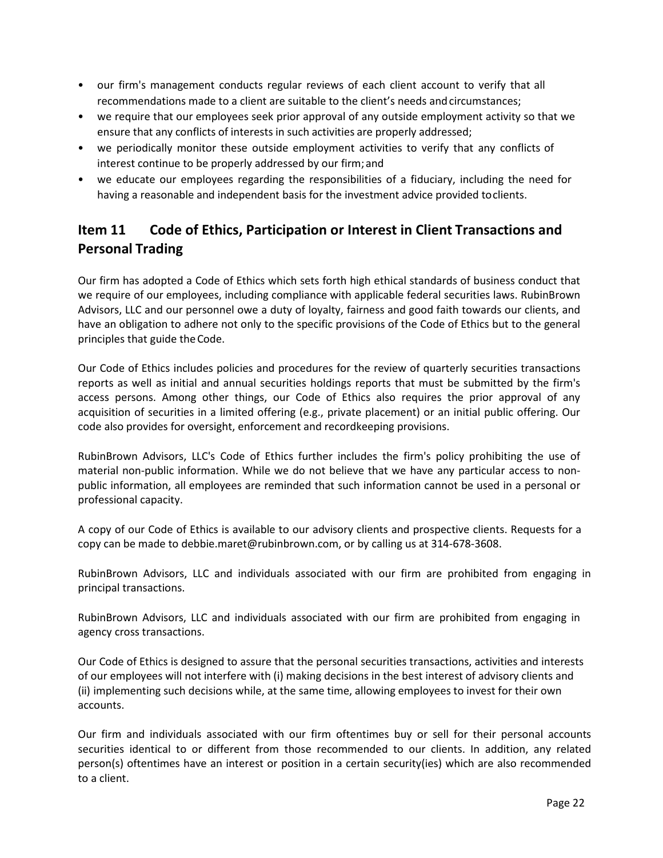- our firm's management conducts regular reviews of each client account to verify that all recommendations made to a client are suitable to the client's needs andcircumstances;
- we require that our employees seek prior approval of any outside employment activity so that we ensure that any conflicts of interests in such activities are properly addressed;
- we periodically monitor these outside employment activities to verify that any conflicts of interest continue to be properly addressed by our firm;and
- we educate our employees regarding the responsibilities of a fiduciary, including the need for having a reasonable and independent basis for the investment advice provided toclients.

# <span id="page-21-0"></span>**Item 11 Code of Ethics, Participation or Interest in Client Transactions and Personal Trading**

Our firm has adopted a Code of Ethics which sets forth high ethical standards of business conduct that we require of our employees, including compliance with applicable federal securities laws. RubinBrown Advisors, LLC and our personnel owe a duty of loyalty, fairness and good faith towards our clients, and have an obligation to adhere not only to the specific provisions of the Code of Ethics but to the general principles that guide the Code.

Our Code of Ethics includes policies and procedures for the review of quarterly securities transactions reports as well as initial and annual securities holdings reports that must be submitted by the firm's access persons. Among other things, our Code of Ethics also requires the prior approval of any acquisition of securities in a limited offering (e.g., private placement) or an initial public offering. Our code also provides for oversight, enforcement and recordkeeping provisions.

RubinBrown Advisors, LLC's Code of Ethics further includes the firm's policy prohibiting the use of material non-public information. While we do not believe that we have any particular access to nonpublic information, all employees are reminded that such information cannot be used in a personal or professional capacity.

A copy of our Code of Ethics is available to our advisory clients and prospective clients. Requests for a copy can be made to [debbie.maret@rubinbrown.com,](mailto:debbie.maret@rubinbrown.com) or by calling us at 314-678-3608.

RubinBrown Advisors, LLC and individuals associated with our firm are prohibited from engaging in principal transactions.

RubinBrown Advisors, LLC and individuals associated with our firm are prohibited from engaging in agency cross transactions.

Our Code of Ethics is designed to assure that the personal securities transactions, activities and interests of our employees will not interfere with (i) making decisions in the best interest of advisory clients and (ii) implementing such decisions while, at the same time, allowing employees to invest for their own accounts.

Our firm and individuals associated with our firm oftentimes buy or sell for their personal accounts securities identical to or different from those recommended to our clients. In addition, any related person(s) oftentimes have an interest or position in a certain security(ies) which are also recommended to a client.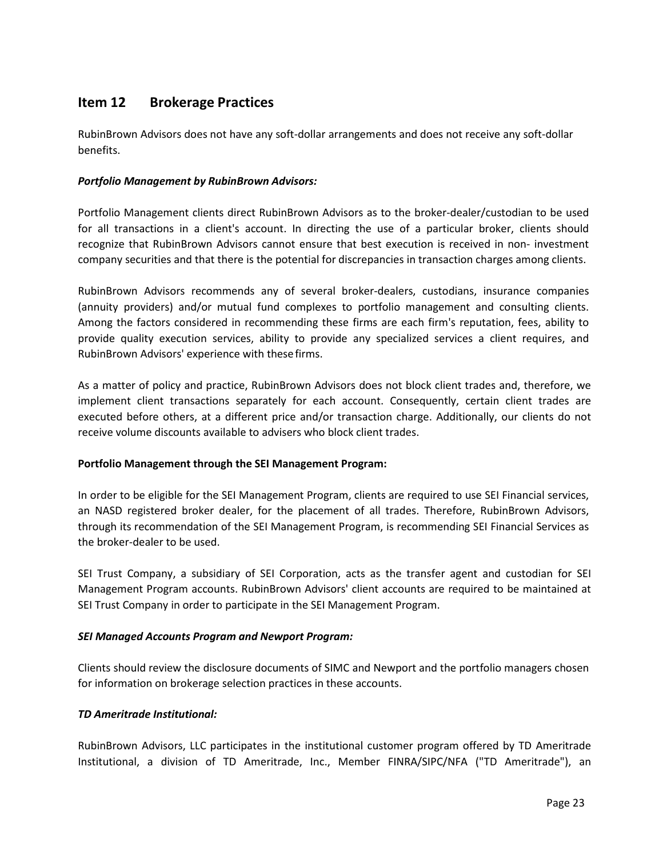# <span id="page-22-0"></span>**Item 12 Brokerage Practices**

RubinBrown Advisors does not have any soft-dollar arrangements and does not receive any soft-dollar benefits.

# *Portfolio Management by RubinBrown Advisors:*

Portfolio Management clients direct RubinBrown Advisors as to the broker-dealer/custodian to be used for all transactions in a client's account. In directing the use of a particular broker, clients should recognize that RubinBrown Advisors cannot ensure that best execution is received in non- investment company securities and that there is the potential for discrepancies in transaction charges among clients.

RubinBrown Advisors recommends any of several broker-dealers, custodians, insurance companies (annuity providers) and/or mutual fund complexes to portfolio management and consulting clients. Among the factors considered in recommending these firms are each firm's reputation, fees, ability to provide quality execution services, ability to provide any specialized services a client requires, and RubinBrown Advisors' experience with thesefirms.

As a matter of policy and practice, RubinBrown Advisors does not block client trades and, therefore, we implement client transactions separately for each account. Consequently, certain client trades are executed before others, at a different price and/or transaction charge. Additionally, our clients do not receive volume discounts available to advisers who block client trades.

# **Portfolio Management through the SEI Management Program:**

In order to be eligible for the SEI Management Program, clients are required to use SEI Financial services, an NASD registered broker dealer, for the placement of all trades. Therefore, RubinBrown Advisors, through its recommendation of the SEI Management Program, is recommending SEI Financial Services as the broker-dealer to be used.

SEI Trust Company, a subsidiary of SEI Corporation, acts as the transfer agent and custodian for SEI Management Program accounts. RubinBrown Advisors' client accounts are required to be maintained at SEI Trust Company in order to participate in the SEI Management Program.

# *SEI Managed Accounts Program and Newport Program:*

Clients should review the disclosure documents of SIMC and Newport and the portfolio managers chosen for information on brokerage selection practices in these accounts.

# *TD Ameritrade Institutional:*

RubinBrown Advisors, LLC participates in the institutional customer program offered by TD Ameritrade Institutional, a division of TD Ameritrade, Inc., Member FINRA/SIPC/NFA ("TD Ameritrade"), an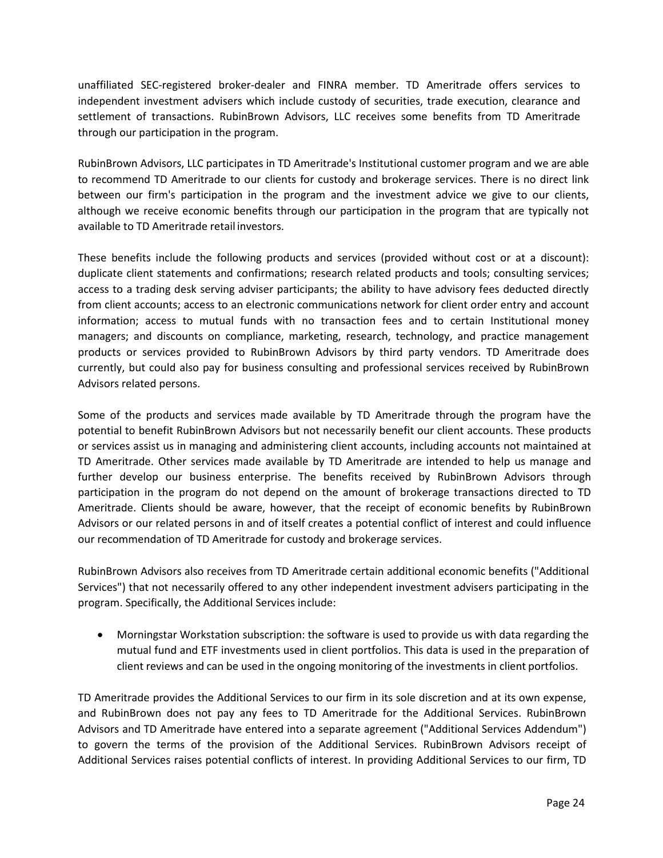unaffiliated SEC-registered broker-dealer and FINRA member. TD Ameritrade offers services to independent investment advisers which include custody of securities, trade execution, clearance and settlement of transactions. RubinBrown Advisors, LLC receives some benefits from TD Ameritrade through our participation in the program.

RubinBrown Advisors, LLC participates in TD Ameritrade's Institutional customer program and we are able to recommend TD Ameritrade to our clients for custody and brokerage services. There is no direct link between our firm's participation in the program and the investment advice we give to our clients, although we receive economic benefits through our participation in the program that are typically not available to TD Ameritrade retail investors.

These benefits include the following products and services (provided without cost or at a discount): duplicate client statements and confirmations; research related products and tools; consulting services; access to a trading desk serving adviser participants; the ability to have advisory fees deducted directly from client accounts; access to an electronic communications network for client order entry and account information; access to mutual funds with no transaction fees and to certain Institutional money managers; and discounts on compliance, marketing, research, technology, and practice management products or services provided to RubinBrown Advisors by third party vendors. TD Ameritrade does currently, but could also pay for business consulting and professional services received by RubinBrown Advisors related persons.

Some of the products and services made available by TD Ameritrade through the program have the potential to benefit RubinBrown Advisors but not necessarily benefit our client accounts. These products or services assist us in managing and administering client accounts, including accounts not maintained at TD Ameritrade. Other services made available by TD Ameritrade are intended to help us manage and further develop our business enterprise. The benefits received by RubinBrown Advisors through participation in the program do not depend on the amount of brokerage transactions directed to TD Ameritrade. Clients should be aware, however, that the receipt of economic benefits by RubinBrown Advisors or our related persons in and of itself creates a potential conflict of interest and could influence our recommendation of TD Ameritrade for custody and brokerage services.

RubinBrown Advisors also receives from TD Ameritrade certain additional economic benefits ("Additional Services") that not necessarily offered to any other independent investment advisers participating in the program. Specifically, the Additional Services include:

• Morningstar Workstation subscription: the software is used to provide us with data regarding the mutual fund and ETF investments used in client portfolios. This data is used in the preparation of client reviews and can be used in the ongoing monitoring of the investments in client portfolios.

TD Ameritrade provides the Additional Services to our firm in its sole discretion and at its own expense, and RubinBrown does not pay any fees to TD Ameritrade for the Additional Services. RubinBrown Advisors and TD Ameritrade have entered into a separate agreement ("Additional Services Addendum") to govern the terms of the provision of the Additional Services. RubinBrown Advisors receipt of Additional Services raises potential conflicts of interest. In providing Additional Services to our firm, TD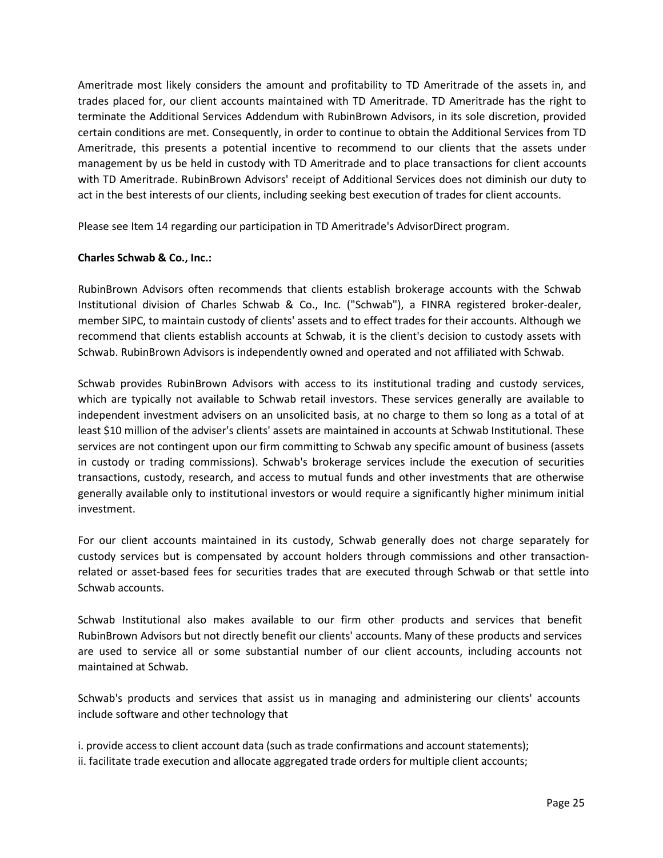Ameritrade most likely considers the amount and profitability to TD Ameritrade of the assets in, and trades placed for, our client accounts maintained with TD Ameritrade. TD Ameritrade has the right to terminate the Additional Services Addendum with RubinBrown Advisors, in its sole discretion, provided certain conditions are met. Consequently, in order to continue to obtain the Additional Services from TD Ameritrade, this presents a potential incentive to recommend to our clients that the assets under management by us be held in custody with TD Ameritrade and to place transactions for client accounts with TD Ameritrade. RubinBrown Advisors' receipt of Additional Services does not diminish our duty to act in the best interests of our clients, including seeking best execution of trades for client accounts.

Please see Item 14 regarding our participation in TD Ameritrade's AdvisorDirect program.

# **Charles Schwab & Co., Inc.:**

RubinBrown Advisors often recommends that clients establish brokerage accounts with the Schwab Institutional division of Charles Schwab & Co., Inc. ("Schwab"), a FINRA registered broker-dealer, member SIPC, to maintain custody of clients' assets and to effect trades for their accounts. Although we recommend that clients establish accounts at Schwab, it is the client's decision to custody assets with Schwab. RubinBrown Advisors is independently owned and operated and not affiliated with Schwab.

Schwab provides RubinBrown Advisors with access to its institutional trading and custody services, which are typically not available to Schwab retail investors. These services generally are available to independent investment advisers on an unsolicited basis, at no charge to them so long as a total of at least \$10 million of the adviser's clients' assets are maintained in accounts at Schwab Institutional. These services are not contingent upon our firm committing to Schwab any specific amount of business (assets in custody or trading commissions). Schwab's brokerage services include the execution of securities transactions, custody, research, and access to mutual funds and other investments that are otherwise generally available only to institutional investors or would require a significantly higher minimum initial investment.

For our client accounts maintained in its custody, Schwab generally does not charge separately for custody services but is compensated by account holders through commissions and other transactionrelated or asset-based fees for securities trades that are executed through Schwab or that settle into Schwab accounts.

Schwab Institutional also makes available to our firm other products and services that benefit RubinBrown Advisors but not directly benefit our clients' accounts. Many of these products and services are used to service all or some substantial number of our client accounts, including accounts not maintained at Schwab.

Schwab's products and services that assist us in managing and administering our clients' accounts include software and other technology that

i. provide access to client account data (such as trade confirmations and account statements); ii. facilitate trade execution and allocate aggregated trade orders for multiple client accounts;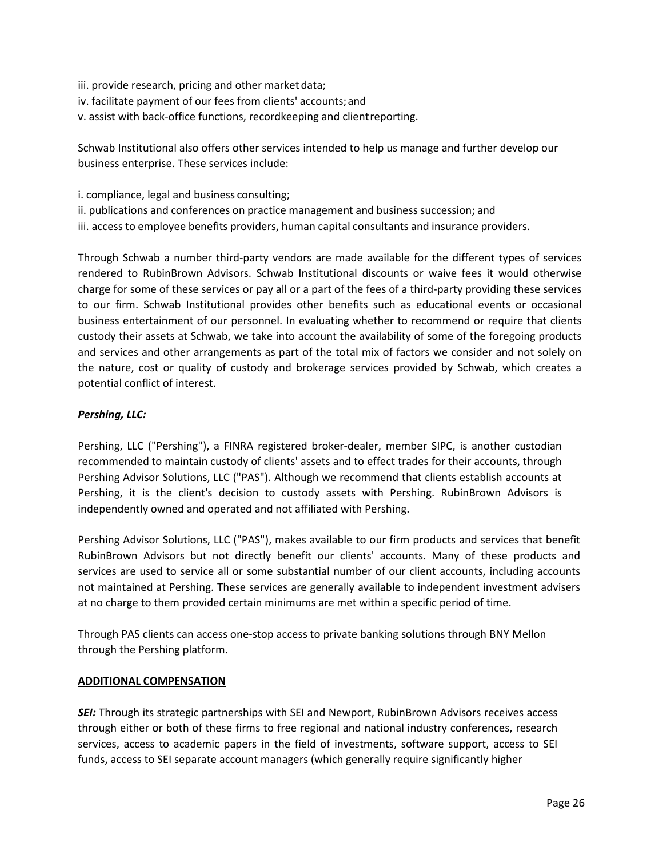- iii. provide research, pricing and other market data;
- iv. facilitate payment of our fees from clients' accounts;and
- v. assist with back-office functions, recordkeeping and clientreporting.

Schwab Institutional also offers other services intended to help us manage and further develop our business enterprise. These services include:

- i. compliance, legal and business consulting;
- ii. publications and conferences on practice management and business succession; and
- iii. access to employee benefits providers, human capital consultants and insurance providers.

Through Schwab a number third-party vendors are made available for the different types of services rendered to RubinBrown Advisors. Schwab Institutional discounts or waive fees it would otherwise charge for some of these services or pay all or a part of the fees of a third-party providing these services to our firm. Schwab Institutional provides other benefits such as educational events or occasional business entertainment of our personnel. In evaluating whether to recommend or require that clients custody their assets at Schwab, we take into account the availability of some of the foregoing products and services and other arrangements as part of the total mix of factors we consider and not solely on the nature, cost or quality of custody and brokerage services provided by Schwab, which creates a potential conflict of interest.

# *Pershing, LLC:*

Pershing, LLC ("Pershing"), a FINRA registered broker-dealer, member SIPC, is another custodian recommended to maintain custody of clients' assets and to effect trades for their accounts, through Pershing Advisor Solutions, LLC ("PAS"). Although we recommend that clients establish accounts at Pershing, it is the client's decision to custody assets with Pershing. RubinBrown Advisors is independently owned and operated and not affiliated with Pershing.

Pershing Advisor Solutions, LLC ("PAS"), makes available to our firm products and services that benefit RubinBrown Advisors but not directly benefit our clients' accounts. Many of these products and services are used to service all or some substantial number of our client accounts, including accounts not maintained at Pershing. These services are generally available to independent investment advisers at no charge to them provided certain minimums are met within a specific period of time.

Through PAS clients can access one-stop access to private banking solutions through BNY Mellon through the Pershing platform.

#### **ADDITIONAL COMPENSATION**

**SEI:** Through its strategic partnerships with SEI and Newport, RubinBrown Advisors receives access through either or both of these firms to free regional and national industry conferences, research services, access to academic papers in the field of investments, software support, access to SEI funds, access to SEI separate account managers (which generally require significantly higher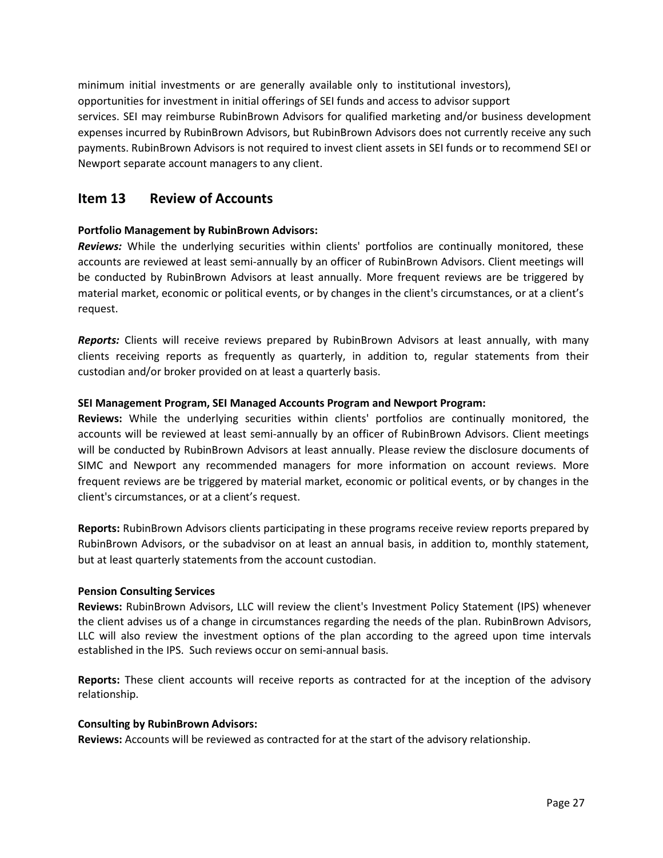minimum initial investments or are generally available only to institutional investors), opportunities for investment in initial offerings of SEI funds and access to advisor support services. SEI may reimburse RubinBrown Advisors for qualified marketing and/or business development expenses incurred by RubinBrown Advisors, but RubinBrown Advisors does not currently receive any such payments. RubinBrown Advisors is not required to invest client assets in SEI funds or to recommend SEI or Newport separate account managers to any client.

# <span id="page-26-0"></span>**Item 13 Review of Accounts**

# **Portfolio Management by RubinBrown Advisors:**

*Reviews:* While the underlying securities within clients' portfolios are continually monitored, these accounts are reviewed at least semi-annually by an officer of RubinBrown Advisors. Client meetings will be conducted by RubinBrown Advisors at least annually. More frequent reviews are be triggered by material market, economic or political events, or by changes in the client's circumstances, or at a client's request.

*Reports:* Clients will receive reviews prepared by RubinBrown Advisors at least annually, with many clients receiving reports as frequently as quarterly, in addition to, regular statements from their custodian and/or broker provided on at least a quarterly basis.

# **SEI Management Program, SEI Managed Accounts Program and Newport Program:**

**Reviews:** While the underlying securities within clients' portfolios are continually monitored, the accounts will be reviewed at least semi-annually by an officer of RubinBrown Advisors. Client meetings will be conducted by RubinBrown Advisors at least annually. Please review the disclosure documents of SIMC and Newport any recommended managers for more information on account reviews. More frequent reviews are be triggered by material market, economic or political events, or by changes in the client's circumstances, or at a client's request.

**Reports:** RubinBrown Advisors clients participating in these programs receive review reports prepared by RubinBrown Advisors, or the subadvisor on at least an annual basis, in addition to, monthly statement, but at least quarterly statements from the account custodian.

# **Pension Consulting Services**

**Reviews:** RubinBrown Advisors, LLC will review the client's Investment Policy Statement (IPS) whenever the client advises us of a change in circumstances regarding the needs of the plan. RubinBrown Advisors, LLC will also review the investment options of the plan according to the agreed upon time intervals established in the IPS. Such reviews occur on semi-annual basis.

**Reports:** These client accounts will receive reports as contracted for at the inception of the advisory relationship.

# **Consulting by RubinBrown Advisors:**

**Reviews:** Accounts will be reviewed as contracted for at the start of the advisory relationship.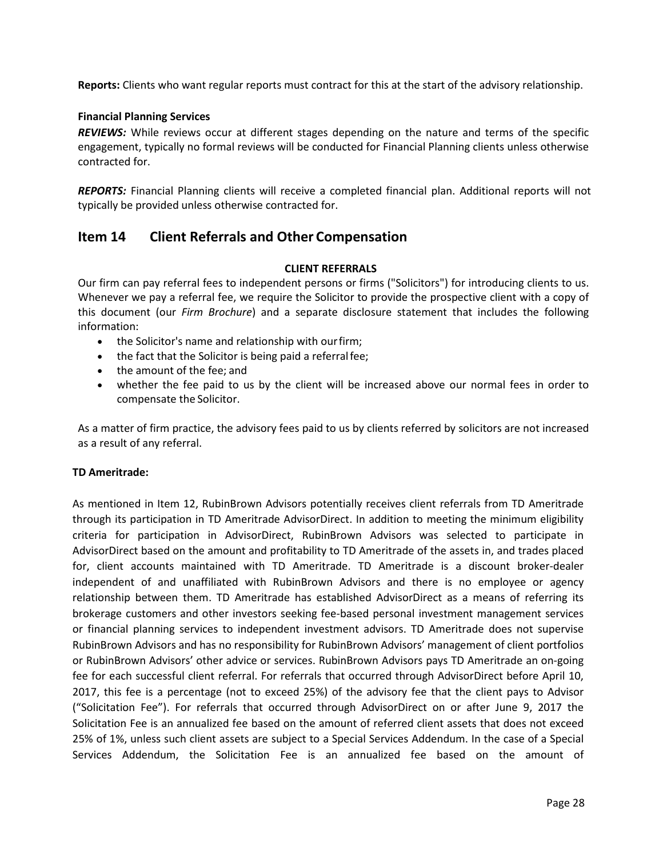**Reports:** Clients who want regular reports must contract for this at the start of the advisory relationship.

### **Financial Planning Services**

*REVIEWS:* While reviews occur at different stages depending on the nature and terms of the specific engagement, typically no formal reviews will be conducted for Financial Planning clients unless otherwise contracted for.

*REPORTS:* Financial Planning clients will receive a completed financial plan. Additional reports will not typically be provided unless otherwise contracted for.

# <span id="page-27-0"></span>**Item 14 Client Referrals and Other Compensation**

### **CLIENT REFERRALS**

Our firm can pay referral fees to independent persons or firms ("Solicitors") for introducing clients to us. Whenever we pay a referral fee, we require the Solicitor to provide the prospective client with a copy of this document (our *Firm Brochure*) and a separate disclosure statement that includes the following information:

- the Solicitor's name and relationship with ourfirm;
- the fact that the Solicitor is being paid a referral fee;
- the amount of the fee; and
- whether the fee paid to us by the client will be increased above our normal fees in order to compensate the Solicitor.

As a matter of firm practice, the advisory fees paid to us by clients referred by solicitors are not increased as a result of any referral.

# **TD Ameritrade:**

As mentioned in Item 12, RubinBrown Advisors potentially receives client referrals from TD Ameritrade through its participation in TD Ameritrade AdvisorDirect. In addition to meeting the minimum eligibility criteria for participation in AdvisorDirect, RubinBrown Advisors was selected to participate in AdvisorDirect based on the amount and profitability to TD Ameritrade of the assets in, and trades placed for, client accounts maintained with TD Ameritrade. TD Ameritrade is a discount broker-dealer independent of and unaffiliated with RubinBrown Advisors and there is no employee or agency relationship between them. TD Ameritrade has established AdvisorDirect as a means of referring its brokerage customers and other investors seeking fee-based personal investment management services or financial planning services to independent investment advisors. TD Ameritrade does not supervise RubinBrown Advisors and has no responsibility for RubinBrown Advisors' management of client portfolios or RubinBrown Advisors' other advice or services. RubinBrown Advisors pays TD Ameritrade an on-going fee for each successful client referral. For referrals that occurred through AdvisorDirect before April 10, 2017, this fee is a percentage (not to exceed 25%) of the advisory fee that the client pays to Advisor ("Solicitation Fee"). For referrals that occurred through AdvisorDirect on or after June 9, 2017 the Solicitation Fee is an annualized fee based on the amount of referred client assets that does not exceed 25% of 1%, unless such client assets are subject to a Special Services Addendum. In the case of a Special Services Addendum, the Solicitation Fee is an annualized fee based on the amount of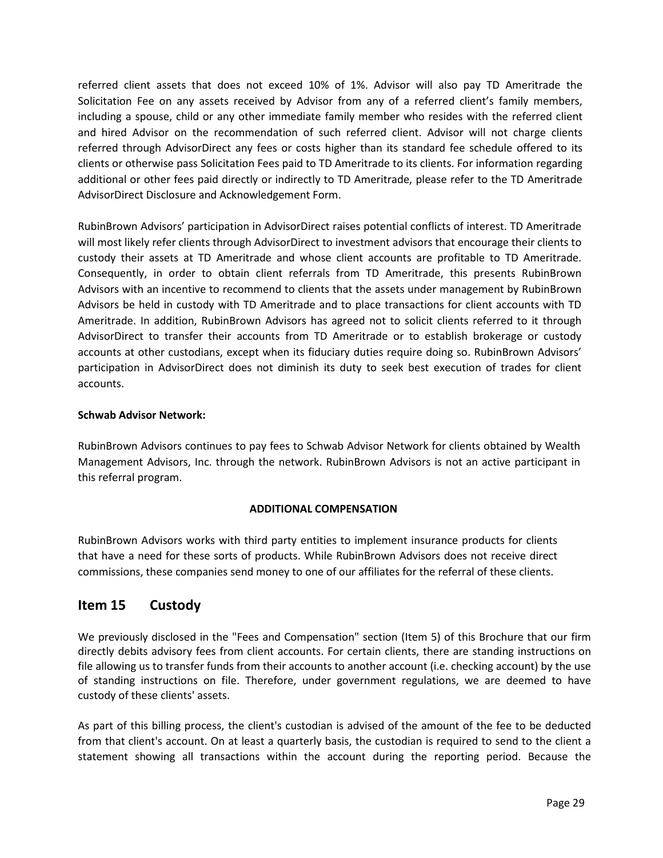referred client assets that does not exceed 10% of 1%. Advisor will also pay TD Ameritrade the Solicitation Fee on any assets received by Advisor from any of a referred client's family members, including a spouse, child or any other immediate family member who resides with the referred client and hired Advisor on the recommendation of such referred client. Advisor will not charge clients referred through AdvisorDirect any fees or costs higher than its standard fee schedule offered to its clients or otherwise pass Solicitation Fees paid to TD Ameritrade to its clients. For information regarding additional or other fees paid directly or indirectly to TD Ameritrade, please refer to the TD Ameritrade AdvisorDirect Disclosure and Acknowledgement Form.

RubinBrown Advisors' participation in AdvisorDirect raises potential conflicts of interest. TD Ameritrade will most likely refer clients through AdvisorDirect to investment advisors that encourage their clients to custody their assets at TD Ameritrade and whose client accounts are profitable to TD Ameritrade. Consequently, in order to obtain client referrals from TD Ameritrade, this presents RubinBrown Advisors with an incentive to recommend to clients that the assets under management by RubinBrown Advisors be held in custody with TD Ameritrade and to place transactions for client accounts with TD Ameritrade. In addition, RubinBrown Advisors has agreed not to solicit clients referred to it through AdvisorDirect to transfer their accounts from TD Ameritrade or to establish brokerage or custody accounts at other custodians, except when its fiduciary duties require doing so. RubinBrown Advisors' participation in AdvisorDirect does not diminish its duty to seek best execution of trades for client accounts.

# **Schwab Advisor Network:**

RubinBrown Advisors continues to pay fees to Schwab Advisor Network for clients obtained by Wealth Management Advisors, Inc. through the network. RubinBrown Advisors is not an active participant in this referral program.

# **ADDITIONAL COMPENSATION**

RubinBrown Advisors works with third party entities to implement insurance products for clients that have a need for these sorts of products. While RubinBrown Advisors does not receive direct commissions, these companies send money to one of our affiliates for the referral of these clients.

# <span id="page-28-0"></span>**Item 15 Custody**

We previously disclosed in the "Fees and Compensation" section (Item 5) of this Brochure that our firm directly debits advisory fees from client accounts. For certain clients, there are standing instructions on file allowing us to transfer funds from their accounts to another account (i.e. checking account) by the use of standing instructions on file. Therefore, under government regulations, we are deemed to have custody of these clients' assets.

As part of this billing process, the client's custodian is advised of the amount of the fee to be deducted from that client's account. On at least a quarterly basis, the custodian is required to send to the client a statement showing all transactions within the account during the reporting period. Because the